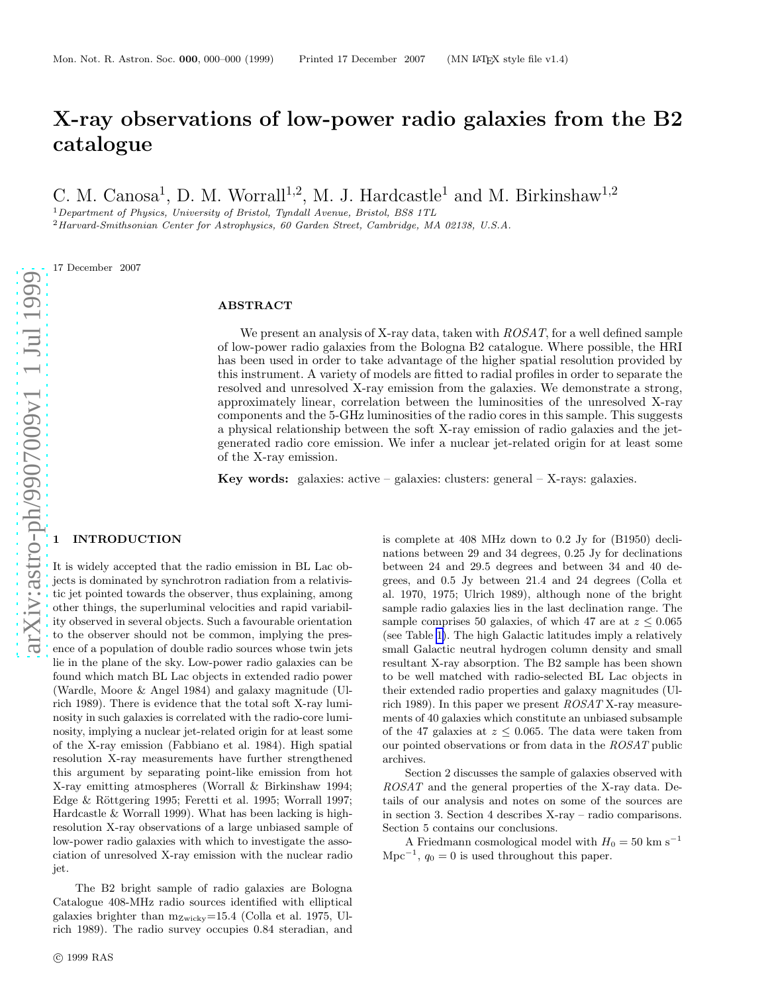# X-ray observations of low-power radio galaxies from the B2 catalogue

C. M. Canosa<sup>1</sup>, D. M. Worrall<sup>1,2</sup>, M. J. Hardcastle<sup>1</sup> and M. Birkinshaw<sup>1,2</sup>

 $1$  Department of Physics, University of Bristol, Tyndall Avenue, Bristol, BS8 1TL

<sup>2</sup>Harvard-Smithsonian Center for Astrophysics, 60 Garden Street, Cambridge, MA 02138, U.S.A.

17 December 2007

# ABSTRACT

We present an analysis of X-ray data, taken with  $ROSAT$ , for a well defined sample of low-power radio galaxies from the Bologna B2 catalogue. Where possible, the HRI has been used in order to take advantage of the higher spatial resolution provided by this instrument. A variety of models are fitted to radial profiles in order to separate the resolved and unresolved X-ray emission from the galaxies. We demonstrate a strong, approximately linear, correlation between the luminosities of the unresolved X-ray components and the 5-GHz luminosities of the radio cores in this sample. This suggests a physical relationship between the soft X-ray emission of radio galaxies and the jetgenerated radio core emission. We infer a nuclear jet-related origin for at least some of the X-ray emission.

Key words: galaxies: active – galaxies: clusters: general – X-rays: galaxies.

### **INTRODUCTION**

It is widely accepted that the radio emission in BL Lac objects is dominated by synchrotron radiation from a relativistic jet pointed towards the observer, thus explaining, among other things, the superluminal velocities and rapid variability observed in several objects. Such a favourable orientation to the observer should not be common, implying the presence of a population of double radio sources whose twin jets lie in the plane of the sky. Low-power radio galaxies can be found which match BL Lac objects in extended radio power (Wardle, Moore & Angel 1984) and galaxy magnitude (Ulrich 1989). There is evidence that the total soft X-ray luminosity in such galaxies is correlated with the radio-core luminosity, implying a nuclear jet-related origin for at least some of the X-ray emission (Fabbiano et al. 1984). High spatial resolution X-ray measurements have further strengthened this argument by separating point-like emission from hot X-ray emitting atmospheres (Worrall & Birkinshaw 1994; Edge & Röttgering 1995; Feretti et al. 1995; Worrall 1997; Hardcastle & Worrall 1999). What has been lacking is highresolution X-ray observations of a large unbiased sample of low-power radio galaxies with which to investigate the association of unresolved X-ray emission with the nuclear radio jet.

The B2 bright sample of radio galaxies are Bologna Catalogue 408-MHz radio sources identified with elliptical galaxies brighter than  $m_{\text{Zwicky}}=15.4$  (Colla et al. 1975, Ulrich 1989). The radio survey occupies 0.84 steradian, and

c 1999 RAS

is complete at 408 MHz down to 0.2 Jy for (B1950) declinations between 29 and 34 degrees, 0.25 Jy for declinations between 24 and 29.5 degrees and between 34 and 40 degrees, and 0.5 Jy between 21.4 and 24 degrees (Colla et al. 1970, 1975; Ulrich 1989), although none of the bright sample radio galaxies lies in the last declination range. Th e sample comprises 50 galaxies, of which 47 are at  $z \leq 0.065$ (see Table [1\)](#page-7-0). The high Galactic latitudes imply a relativel y small Galactic neutral hydrogen column density and small resultant X-ray absorption. The B2 sample has been shown to be well matched with radio-selected BL Lac objects in their extended radio properties and galaxy magnitudes (Ulrich 1989). In this paper we present ROSAT X-ray measurements of 40 galaxies which constitute an unbiased subsample of the 47 galaxies at  $z \leq 0.065$ . The data were taken from our pointed observations or from data in the ROSAT public archives.

Section 2 discusses the sample of galaxies observed with ROSAT and the general properties of the X-ray data. Details of our analysis and notes on some of the sources are in section 3. Section 4 describes X-ray – radio comparisons. Section 5 contains our conclusions.

A Friedmann cosmological model with  $H_0 = 50 \text{ km s}^{-1}$  $\text{Mpc}^{-1}$ ,  $q_0 = 0$  is used throughout this paper.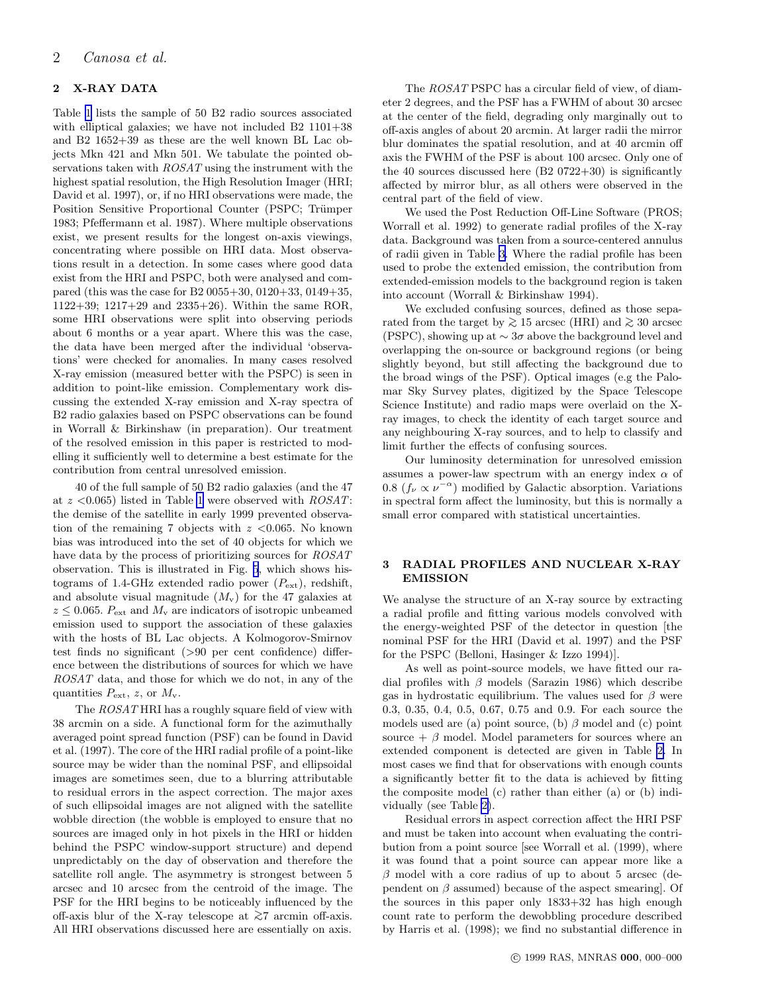# 2 X-RAY DATA

Table [1](#page-7-0) lists the sample of 50 B2 radio sources associated with elliptical galaxies; we have not included B2 1101+38 and B2 1652+39 as these are the well known BL Lac objects Mkn 421 and Mkn 501. We tabulate the pointed observations taken with ROSAT using the instrument with the highest spatial resolution, the High Resolution Imager (HRI; David et al. 1997), or, if no HRI observations were made, the Position Sensitive Proportional Counter (PSPC; Trümper 1983; Pfeffermann et al. 1987). Where multiple observations exist, we present results for the longest on-axis viewings, concentrating where possible on HRI data. Most observations result in a detection. In some cases where good data exist from the HRI and PSPC, both were analysed and compared (this was the case for B2 0055+30, 0120+33, 0149+35, 1122+39; 1217+29 and 2335+26). Within the same ROR, some HRI observations were split into observing periods about 6 months or a year apart. Where this was the case, the data have been merged after the individual 'observations' were checked for anomalies. In many cases resolved X-ray emission (measured better with the PSPC) is seen in addition to point-like emission. Complementary work discussing the extended X-ray emission and X-ray spectra of B2 radio galaxies based on PSPC observations can be found in Worrall & Birkinshaw (in preparation). Our treatment of the resolved emission in this paper is restricted to modelling it sufficiently well to determine a best estimate for the contribution from central unresolved emission.

40 of the full sample of 50 B2 radio galaxies (and the 47 at  $z$  <0.065) listed in Table [1](#page-7-0) were observed with  $ROSAT$ : the demise of the satellite in early 1999 prevented observation of the remaining 7 objects with  $z$  <0.065. No known bias was introduced into the set of 40 objects for which we have data by the process of prioritizing sources for  $ROSAT$ observation. This is illustrated in Fig. [5](#page-4-0), which shows histograms of 1.4-GHz extended radio power  $(P_{\text{ext}})$ , redshift, and absolute visual magnitude  $(M_v)$  for the 47 galaxies at  $z \leq 0.065$ .  $P_{\text{ext}}$  and  $M_{\text{v}}$  are indicators of isotropic unbeamed emission used to support the association of these galaxies with the hosts of BL Lac objects. A Kolmogorov-Smirnov test finds no significant (>90 per cent confidence) difference between the distributions of sources for which we have ROSAT data, and those for which we do not, in any of the quantities  $P_{\text{ext}}$ , z, or  $M_{\rm v}$ .

The  $ROSAT HRI$  has a roughly square field of view with 38 arcmin on a side. A functional form for the azimuthally averaged point spread function (PSF) can be found in David et al. (1997). The core of the HRI radial profile of a point-like source may be wider than the nominal PSF, and ellipsoidal images are sometimes seen, due to a blurring attributable to residual errors in the aspect correction. The major axes of such ellipsoidal images are not aligned with the satellite wobble direction (the wobble is employed to ensure that no sources are imaged only in hot pixels in the HRI or hidden behind the PSPC window-support structure) and depend unpredictably on the day of observation and therefore the satellite roll angle. The asymmetry is strongest between 5 arcsec and 10 arcsec from the centroid of the image. The PSF for the HRI begins to be noticeably influenced by the off-axis blur of the X-ray telescope at  $\gtrsim$ 7 arcmin off-axis. All HRI observations discussed here are essentially on axis.

The ROSAT PSPC has a circular field of view, of diameter 2 degrees, and the PSF has a FWHM of about 30 arcsec at the center of the field, degrading only marginally out to off-axis angles of about 20 arcmin. At larger radii the mirror blur dominates the spatial resolution, and at 40 arcmin off axis the FWHM of the PSF is about 100 arcsec. Only one of the 40 sources discussed here (B2 0722+30) is significantly affected by mirror blur, as all others were observed in the central part of the field of view.

We used the Post Reduction Off-Line Software (PROS; Worrall et al. 1992) to generate radial profiles of the X-ray data. Background was taken from a source-centered annulus of radii given in Table [3.](#page-9-0) Where the radial profile has been used to probe the extended emission, the contribution from extended-emission models to the background region is taken into account (Worrall & Birkinshaw 1994).

We excluded confusing sources, defined as those separated from the target by  $\geq 15$  arcsec (HRI) and  $\geq 30$  arcsec (PSPC), showing up at  $\sim 3\sigma$  above the background level and overlapping the on-source or background regions (or being slightly beyond, but still affecting the background due to the broad wings of the PSF). Optical images (e.g the Palomar Sky Survey plates, digitized by the Space Telescope Science Institute) and radio maps were overlaid on the Xray images, to check the identity of each target source and any neighbouring X-ray sources, and to help to classify and limit further the effects of confusing sources.

Our luminosity determination for unresolved emission assumes a power-law spectrum with an energy index  $\alpha$  of 0.8  $(f_{\nu} \propto \nu^{-\alpha})$  modified by Galactic absorption. Variations in spectral form affect the luminosity, but this is normally a small error compared with statistical uncertainties.

## 3 RADIAL PROFILES AND NUCLEAR X-RAY EMISSION

We analyse the structure of an X-ray source by extracting a radial profile and fitting various models convolved with the energy-weighted PSF of the detector in question [the nominal PSF for the HRI (David et al. 1997) and the PSF for the PSPC (Belloni, Hasinger & Izzo 1994)].

As well as point-source models, we have fitted our radial profiles with  $\beta$  models (Sarazin 1986) which describe gas in hydrostatic equilibrium. The values used for  $\beta$  were 0.3, 0.35, 0.4, 0.5, 0.67, 0.75 and 0.9. For each source the models used are (a) point source, (b)  $\beta$  model and (c) point source  $+ \beta$  model. Model parameters for sources where an extended component is detected are given in Table [2.](#page-8-0) In most cases we find that for observations with enough counts a significantly better fit to the data is achieved by fitting the composite model (c) rather than either (a) or (b) individually (see Table [2\)](#page-8-0).

Residual errors in aspect correction affect the HRI PSF and must be taken into account when evaluating the contribution from a point source [see Worrall et al. (1999), where it was found that a point source can appear more like a  $\beta$  model with a core radius of up to about 5 arcsec (dependent on  $\beta$  assumed) because of the aspect smearing. Of the sources in this paper only 1833+32 has high enough count rate to perform the dewobbling procedure described by Harris et al. (1998); we find no substantial difference in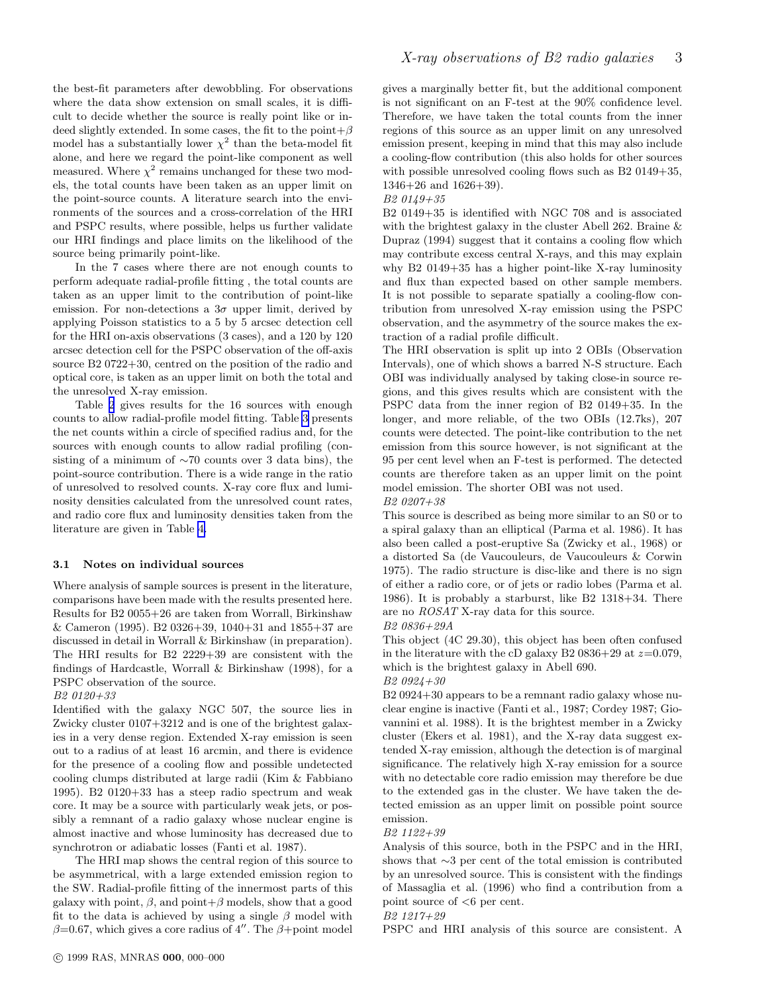the best-fit parameters after dewobbling. For observations where the data show extension on small scales, it is difficult to decide whether the source is really point like or indeed slightly extended. In some cases, the fit to the point  $+\beta$ model has a substantially lower  $\chi^2$  than the beta-model fit alone, and here we regard the point-like component as well measured. Where  $\chi^2$  remains unchanged for these two models, the total counts have been taken as an upper limit on the point-source counts. A literature search into the environments of the sources and a cross-correlation of the HRI and PSPC results, where possible, helps us further validate our HRI findings and place limits on the likelihood of the source being primarily point-like.

In the 7 cases where there are not enough counts to perform adequate radial-profile fitting , the total counts are taken as an upper limit to the contribution of point-like emission. For non-detections a  $3\sigma$  upper limit, derived by applying Poisson statistics to a 5 by 5 arcsec detection cell for the HRI on-axis observations (3 cases), and a 120 by 120 arcsec detection cell for the PSPC observation of the off-axis source B2 0722+30, centred on the position of the radio and optical core, is taken as an upper limit on both the total and the unresolved X-ray emission.

Table [2](#page-8-0) gives results for the 16 sources with enough counts to allow radial-profile model fitting. Table [3](#page-9-0) presents the net counts within a circle of specified radius and, for the sources with enough counts to allow radial profiling (consisting of a minimum of ∼70 counts over 3 data bins), the point-source contribution. There is a wide range in the ratio of unresolved to resolved counts. X-ray core flux and luminosity densities calculated from the unresolved count rates, and radio core flux and luminosity densities taken from the literature are given in Table [4.](#page-10-0)

### 3.1 Notes on individual sources

Where analysis of sample sources is present in the literature, comparisons have been made with the results presented here. Results for B2 0055+26 are taken from Worrall, Birkinshaw & Cameron (1995). B2 0326+39, 1040+31 and 1855+37 are discussed in detail in Worrall & Birkinshaw (in preparation). The HRI results for B2 2229+39 are consistent with the findings of Hardcastle, Worrall & Birkinshaw (1998), for a PSPC observation of the source.

### B2 0120+33

Identified with the galaxy NGC 507, the source lies in Zwicky cluster 0107+3212 and is one of the brightest galaxies in a very dense region. Extended X-ray emission is seen out to a radius of at least 16 arcmin, and there is evidence for the presence of a cooling flow and possible undetected cooling clumps distributed at large radii (Kim & Fabbiano 1995). B2 0120+33 has a steep radio spectrum and weak core. It may be a source with particularly weak jets, or possibly a remnant of a radio galaxy whose nuclear engine is almost inactive and whose luminosity has decreased due to synchrotron or adiabatic losses (Fanti et al. 1987).

The HRI map shows the central region of this source to be asymmetrical, with a large extended emission region to the SW. Radial-profile fitting of the innermost parts of this galaxy with point,  $\beta$ , and point  $\beta$  models, show that a good fit to the data is achieved by using a single  $\beta$  model with  $\beta$ =0.67, which gives a core radius of 4''. The  $\beta$ +point model gives a marginally better fit, but the additional component is not significant on an F-test at the 90% confidence level. Therefore, we have taken the total counts from the inner regions of this source as an upper limit on any unresolved emission present, keeping in mind that this may also include a cooling-flow contribution (this also holds for other sources with possible unresolved cooling flows such as B2 0149+35, 1346+26 and 1626+39).

### B2 0149+35

B2 0149+35 is identified with NGC 708 and is associated with the brightest galaxy in the cluster Abell 262. Braine & Dupraz (1994) suggest that it contains a cooling flow which may contribute excess central X-rays, and this may explain why B2 0149+35 has a higher point-like X-ray luminosity and flux than expected based on other sample members. It is not possible to separate spatially a cooling-flow contribution from unresolved X-ray emission using the PSPC observation, and the asymmetry of the source makes the extraction of a radial profile difficult.

The HRI observation is split up into 2 OBIs (Observation Intervals), one of which shows a barred N-S structure. Each OBI was individually analysed by taking close-in source regions, and this gives results which are consistent with the PSPC data from the inner region of B2 0149+35. In the longer, and more reliable, of the two OBIs (12.7ks), 207 counts were detected. The point-like contribution to the net emission from this source however, is not significant at the 95 per cent level when an F-test is performed. The detected counts are therefore taken as an upper limit on the point model emission. The shorter OBI was not used.

B2 0207+38

This source is described as being more similar to an S0 or to a spiral galaxy than an elliptical (Parma et al. 1986). It has also been called a post-eruptive Sa (Zwicky et al., 1968) or a distorted Sa (de Vaucouleurs, de Vaucouleurs & Corwin 1975). The radio structure is disc-like and there is no sign of either a radio core, or of jets or radio lobes (Parma et al. 1986). It is probably a starburst, like B2 1318+34. There are no ROSAT X-ray data for this source.

B2 0836+29A

This object (4C 29.30), this object has been often confused in the literature with the cD galaxy B2 0836+29 at  $z=0.079$ , which is the brightest galaxy in Abell 690.

### B2 0924+30

B2 0924+30 appears to be a remnant radio galaxy whose nuclear engine is inactive (Fanti et al., 1987; Cordey 1987; Giovannini et al. 1988). It is the brightest member in a Zwicky cluster (Ekers et al. 1981), and the X-ray data suggest extended X-ray emission, although the detection is of marginal significance. The relatively high X-ray emission for a source with no detectable core radio emission may therefore be due to the extended gas in the cluster. We have taken the detected emission as an upper limit on possible point source emission.

#### B2 1122+39

Analysis of this source, both in the PSPC and in the HRI, shows that ∼3 per cent of the total emission is contributed by an unresolved source. This is consistent with the findings of Massaglia et al. (1996) who find a contribution from a point source of <6 per cent.

# B2 1217+29

PSPC and HRI analysis of this source are consistent. A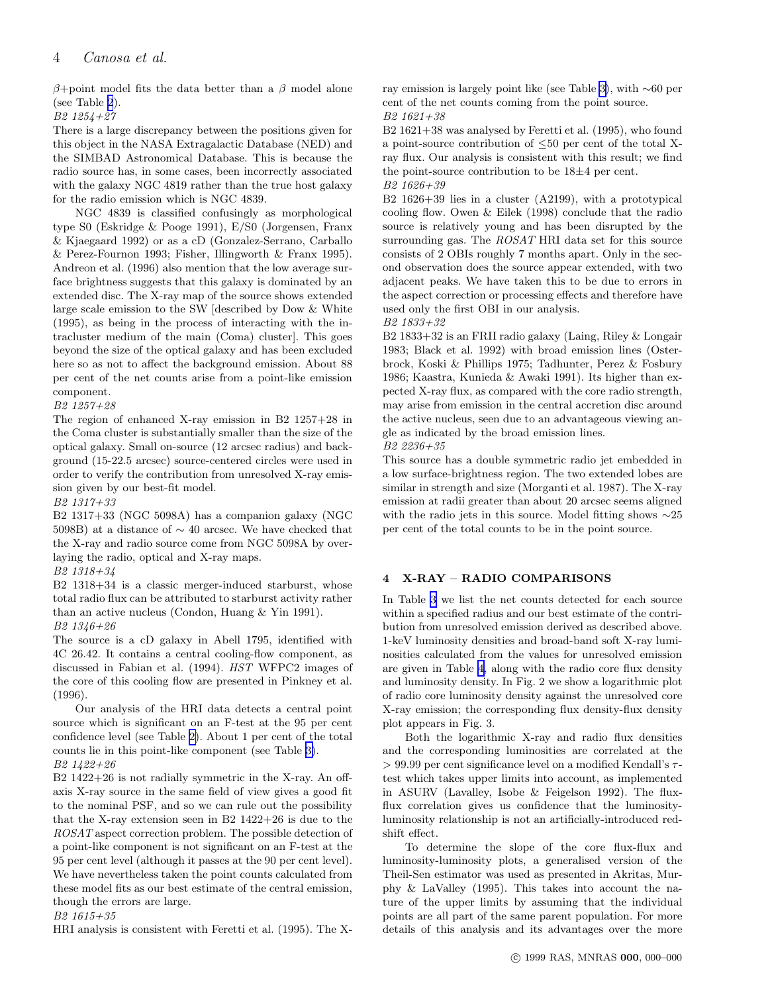β+point model fits the data better than a β model alone (see Table [2](#page-8-0)).

B2 1254+27

There is a large discrepancy between the positions given for this object in the NASA Extragalactic Database (NED) and the SIMBAD Astronomical Database. This is because the radio source has, in some cases, been incorrectly associated with the galaxy NGC 4819 rather than the true host galaxy for the radio emission which is NGC 4839.

NGC 4839 is classified confusingly as morphological type S0 (Eskridge & Pooge 1991), E/S0 (Jorgensen, Franx & Kjaegaard 1992) or as a cD (Gonzalez-Serrano, Carballo & Perez-Fournon 1993; Fisher, Illingworth & Franx 1995). Andreon et al. (1996) also mention that the low average surface brightness suggests that this galaxy is dominated by an extended disc. The X-ray map of the source shows extended large scale emission to the SW [described by Dow & White (1995), as being in the process of interacting with the intracluster medium of the main (Coma) cluster]. This goes beyond the size of the optical galaxy and has been excluded here so as not to affect the background emission. About 88 per cent of the net counts arise from a point-like emission component.

B2 1257+28

The region of enhanced X-ray emission in B2 1257+28 in the Coma cluster is substantially smaller than the size of the optical galaxy. Small on-source (12 arcsec radius) and background (15-22.5 arcsec) source-centered circles were used in order to verify the contribution from unresolved X-ray emission given by our best-fit model.

B2 1317+33

B2 1317+33 (NGC 5098A) has a companion galaxy (NGC 5098B) at a distance of ∼ 40 arcsec. We have checked that the X-ray and radio source come from NGC 5098A by overlaying the radio, optical and X-ray maps.

### B2 1318+34

B2 1318+34 is a classic merger-induced starburst, whose total radio flux can be attributed to starburst activity rather than an active nucleus (Condon, Huang & Yin 1991). B2 1346+26

The source is a cD galaxy in Abell 1795, identified with 4C 26.42. It contains a central cooling-flow component, as discussed in Fabian et al. (1994). HST WFPC2 images of the core of this cooling flow are presented in Pinkney et al. (1996).

Our analysis of the HRI data detects a central point source which is significant on an F-test at the 95 per cent confidence level (see Table [2\)](#page-8-0). About 1 per cent of the total counts lie in this point-like component (see Table [3\)](#page-9-0).

# B2 1422+26

B2 1422+26 is not radially symmetric in the X-ray. An offaxis X-ray source in the same field of view gives a good fit to the nominal PSF, and so we can rule out the possibility that the X-ray extension seen in B2 1422+26 is due to the ROSAT aspect correction problem. The possible detection of a point-like component is not significant on an F-test at the 95 per cent level (although it passes at the 90 per cent level). We have nevertheless taken the point counts calculated from these model fits as our best estimate of the central emission, though the errors are large.

B2 1615+35

HRI analysis is consistent with Feretti et al. (1995). The X-

ray emission is largely point like (see Table [3\)](#page-9-0), with ∼60 per cent of the net counts coming from the point source. B2 1621+38

B2 1621+38 was analysed by Feretti et al. (1995), who found a point-source contribution of  $\leq 50$  per cent of the total Xray flux. Our analysis is consistent with this result; we find the point-source contribution to be 18±4 per cent. B2 1626+39

B2 1626+39 lies in a cluster (A2199), with a prototypical cooling flow. Owen & Eilek (1998) conclude that the radio source is relatively young and has been disrupted by the surrounding gas. The ROSAT HRI data set for this source consists of 2 OBIs roughly 7 months apart. Only in the second observation does the source appear extended, with two adjacent peaks. We have taken this to be due to errors in the aspect correction or processing effects and therefore have used only the first OBI in our analysis.

B2 1833+32

B2 1833+32 is an FRII radio galaxy (Laing, Riley & Longair 1983; Black et al. 1992) with broad emission lines (Osterbrock, Koski & Phillips 1975; Tadhunter, Perez & Fosbury 1986; Kaastra, Kunieda & Awaki 1991). Its higher than expected X-ray flux, as compared with the core radio strength, may arise from emission in the central accretion disc around the active nucleus, seen due to an advantageous viewing angle as indicated by the broad emission lines.

B2 2236+35

This source has a double symmetric radio jet embedded in a low surface-brightness region. The two extended lobes are similar in strength and size (Morganti et al. 1987). The X-ray emission at radii greater than about 20 arcsec seems aligned with the radio jets in this source. Model fitting shows ∼25 per cent of the total counts to be in the point source.

# 4 X-RAY – RADIO COMPARISONS

In Table [3](#page-9-0) we list the net counts detected for each source within a specified radius and our best estimate of the contribution from unresolved emission derived as described above. 1-keV luminosity densities and broad-band soft X-ray luminosities calculated from the values for unresolved emission are given in Table [4,](#page-10-0) along with the radio core flux density and luminosity density. In Fig. 2 we show a logarithmic plot of radio core luminosity density against the unresolved core X-ray emission; the corresponding flux density-flux density plot appears in Fig. 3.

Both the logarithmic X-ray and radio flux densities and the corresponding luminosities are correlated at the  $> 99.99$  per cent significance level on a modified Kendall's  $\tau$ test which takes upper limits into account, as implemented in ASURV (Lavalley, Isobe & Feigelson 1992). The fluxflux correlation gives us confidence that the luminosityluminosity relationship is not an artificially-introduced redshift effect.

To determine the slope of the core flux-flux and luminosity-luminosity plots, a generalised version of the Theil-Sen estimator was used as presented in Akritas, Murphy & LaValley (1995). This takes into account the nature of the upper limits by assuming that the individual points are all part of the same parent population. For more details of this analysis and its advantages over the more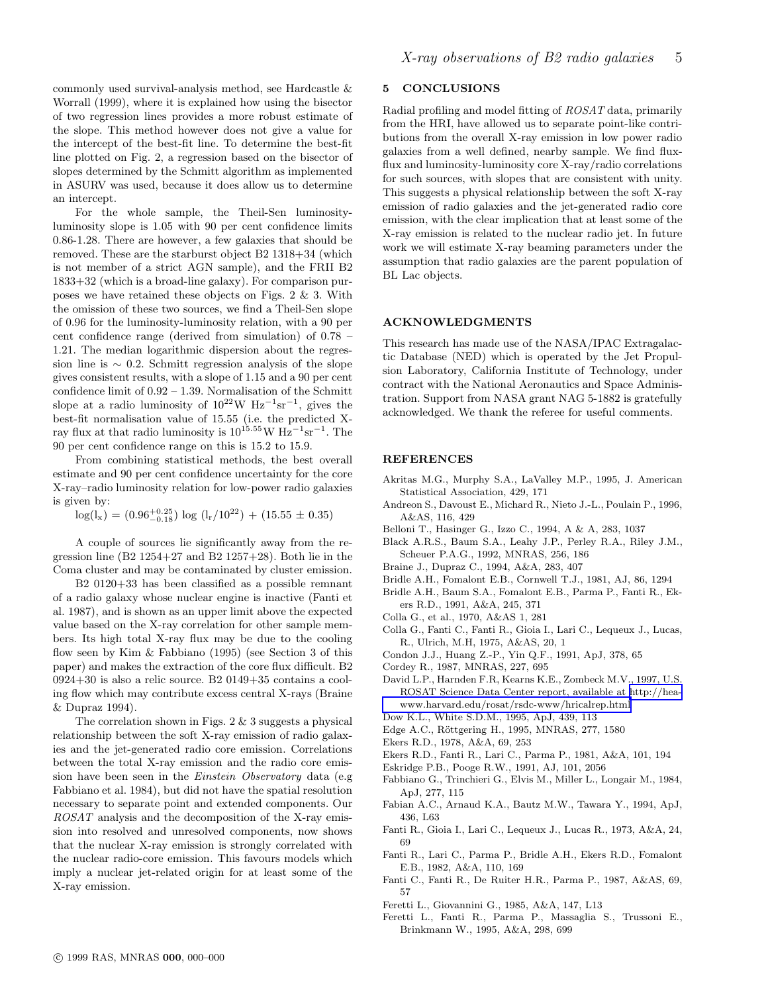<span id="page-4-0"></span>commonly used survival-analysis method, see Hardcastle & Worrall (1999), where it is explained how using the bisector of two regression lines provides a more robust estimate of the slope. This method however does not give a value for the intercept of the best-fit line. To determine the best-fit line plotted on Fig. 2, a regression based on the bisector of slopes determined by the Schmitt algorithm as implemented in ASURV was used, because it does allow us to determine an intercept.

For the whole sample, the Theil-Sen luminosityluminosity slope is 1.05 with 90 per cent confidence limits 0.86-1.28. There are however, a few galaxies that should be removed. These are the starburst object B2 1318+34 (which is not member of a strict AGN sample), and the FRII B2 1833+32 (which is a broad-line galaxy). For comparison purposes we have retained these objects on Figs. 2 & 3. With the omission of these two sources, we find a Theil-Sen slope of 0.96 for the luminosity-luminosity relation, with a 90 per cent confidence range (derived from simulation) of 0.78 – 1.21. The median logarithmic dispersion about the regression line is  $\sim$  0.2. Schmitt regression analysis of the slope gives consistent results, with a slope of 1.15 and a 90 per cent confidence limit of 0.92 – 1.39. Normalisation of the Schmitt slope at a radio luminosity of  $10^{22}$ W  $\rm Hz^{-1}sr^{-1}$ , gives the best-fit normalisation value of 15.55 (i.e. the predicted Xray flux at that radio luminosity is  $10^{15.55}$ W  $\text{Hz}^{-1}\text{sr}^{-1}$ . The 90 per cent confidence range on this is 15.2 to 15.9.

From combining statistical methods, the best overall estimate and 90 per cent confidence uncertainty for the core X-ray–radio luminosity relation for low-power radio galaxies is given by:

 $log(l_x) = (0.96_{-0.18}^{+0.25}) log (l_x/10^{22}) + (15.55 \pm 0.35)$ 

A couple of sources lie significantly away from the regression line  $(B2 1254+27$  and  $B2 1257+28$ ). Both lie in the Coma cluster and may be contaminated by cluster emission.

B2 0120+33 has been classified as a possible remnant of a radio galaxy whose nuclear engine is inactive (Fanti et al. 1987), and is shown as an upper limit above the expected value based on the X-ray correlation for other sample members. Its high total X-ray flux may be due to the cooling flow seen by Kim & Fabbiano (1995) (see Section 3 of this paper) and makes the extraction of the core flux difficult. B2 0924+30 is also a relic source. B2 0149+35 contains a cooling flow which may contribute excess central X-rays (Braine & Dupraz 1994).

The correlation shown in Figs.  $2 \& 3$  suggests a physical relationship between the soft X-ray emission of radio galaxies and the jet-generated radio core emission. Correlations between the total X-ray emission and the radio core emission have been seen in the Einstein Observatory data (e.g Fabbiano et al. 1984), but did not have the spatial resolution necessary to separate point and extended components. Our ROSAT analysis and the decomposition of the X-ray emission into resolved and unresolved components, now shows that the nuclear X-ray emission is strongly correlated with the nuclear radio-core emission. This favours models which imply a nuclear jet-related origin for at least some of the X-ray emission.

# 5 CONCLUSIONS

Radial profiling and model fitting of ROSAT data, primarily from the HRI, have allowed us to separate point-like contributions from the overall X-ray emission in low power radio galaxies from a well defined, nearby sample. We find fluxflux and luminosity-luminosity core X-ray/radio correlations for such sources, with slopes that are consistent with unity. This suggests a physical relationship between the soft X-ray emission of radio galaxies and the jet-generated radio core emission, with the clear implication that at least some of the X-ray emission is related to the nuclear radio jet. In future work we will estimate X-ray beaming parameters under the assumption that radio galaxies are the parent population of BL Lac objects.

### ACKNOWLEDGMENTS

This research has made use of the NASA/IPAC Extragalactic Database (NED) which is operated by the Jet Propulsion Laboratory, California Institute of Technology, under contract with the National Aeronautics and Space Administration. Support from NASA grant NAG 5-1882 is gratefully acknowledged. We thank the referee for useful comments.

#### REFERENCES

- Akritas M.G., Murphy S.A., LaValley M.P., 1995, J. American Statistical Association, 429, 171
- Andreon S., Davoust E., Michard R., Nieto J.-L., Poulain P., 1996, A&AS, 116, 429
- Belloni T., Hasinger G., Izzo C., 1994, A & A, 283, 1037
- Black A.R.S., Baum S.A., Leahy J.P., Perley R.A., Riley J.M., Scheuer P.A.G., 1992, MNRAS, 256, 186
- Braine J., Dupraz C., 1994, A&A, 283, 407
- Bridle A.H., Fomalont E.B., Cornwell T.J., 1981, AJ, 86, 1294
- Bridle A.H., Baum S.A., Fomalont E.B., Parma P., Fanti R., Ekers R.D., 1991, A&A, 245, 371
- Colla G., et al., 1970, A&AS 1, 281
- Colla G., Fanti C., Fanti R., Gioia I., Lari C., Lequeux J., Lucas, R., Ulrich, M.H, 1975, A&AS, 20, 1
- Condon J.J., Huang Z.-P., Yin Q.F., 1991, ApJ, 378, 65
- Cordey R., 1987, MNRAS, 227, 695
- David L.P., Harnden F.R, Kearns K.E., Zombeck M.V., 1997, U.S. ROSAT Science Data Center report, available at [http://hea](http://hea-www.harvard.edu/rosat/rsdc-www/hricalrep.html)[www.harvard.edu/rosat/rsdc-www/hricalrep.html](http://hea-www.harvard.edu/rosat/rsdc-www/hricalrep.html)
- Dow K.L., White S.D.M., 1995, ApJ, 439, 113
- Edge A.C., Röttgering H., 1995, MNRAS, 277, 1580
- Ekers R.D., 1978, A&A, 69, 253
- Ekers R.D., Fanti R., Lari C., Parma P., 1981, A&A, 101, 194
- Eskridge P.B., Pooge R.W., 1991, AJ, 101, 2056
- Fabbiano G., Trinchieri G., Elvis M., Miller L., Longair M., 1984, ApJ, 277, 115
- Fabian A.C., Arnaud K.A., Bautz M.W., Tawara Y., 1994, ApJ, 436, L63
- Fanti R., Gioia I., Lari C., Lequeux J., Lucas R., 1973, A&A, 24, 69
- Fanti R., Lari C., Parma P., Bridle A.H., Ekers R.D., Fomalont E.B., 1982, A&A, 110, 169
- Fanti C., Fanti R., De Ruiter H.R., Parma P., 1987, A&AS, 69, 57
- Feretti L., Giovannini G., 1985, A&A, 147, L13

Feretti L., Fanti R., Parma P., Massaglia S., Trussoni E., Brinkmann W., 1995, A&A, 298, 699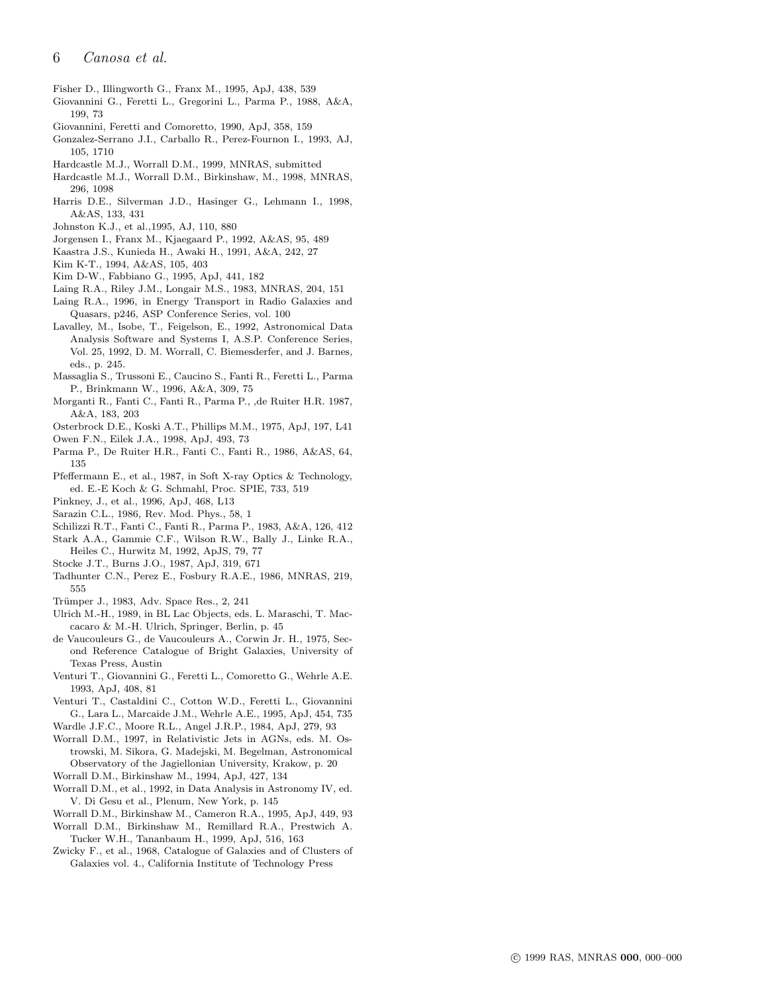- Fisher D., Illingworth G., Franx M., 1995, ApJ, 438, 539
- Giovannini G., Feretti L., Gregorini L., Parma P., 1988, A&A, 199, 73
- Giovannini, Feretti and Comoretto, 1990, ApJ, 358, 159
- Gonzalez-Serrano J.I., Carballo R., Perez-Fournon I., 1993, AJ, 105, 1710
- Hardcastle M.J., Worrall D.M., 1999, MNRAS, submitted
- Hardcastle M.J., Worrall D.M., Birkinshaw, M., 1998, MNRAS, 296, 1098
- Harris D.E., Silverman J.D., Hasinger G., Lehmann I., 1998, A&AS, 133, 431
- Johnston K.J., et al.,1995, AJ, 110, 880
- Jorgensen I., Franx M., Kjaegaard P., 1992, A&AS, 95, 489
- Kaastra J.S., Kunieda H., Awaki H., 1991, A&A, 242, 27
- Kim K-T., 1994, A&AS, 105, 403
- Kim D-W., Fabbiano G., 1995, ApJ, 441, 182
- Laing R.A., Riley J.M., Longair M.S., 1983, MNRAS, 204, 151
- Laing R.A., 1996, in Energy Transport in Radio Galaxies and Quasars, p246, ASP Conference Series, vol. 100
- Lavalley, M., Isobe, T., Feigelson, E., 1992, Astronomical Data Analysis Software and Systems I, A.S.P. Conference Series, Vol. 25, 1992, D. M. Worrall, C. Biemesderfer, and J. Barnes, eds., p. 245.
- Massaglia S., Trussoni E., Caucino S., Fanti R., Feretti L., Parma P., Brinkmann W., 1996, A&A, 309, 75
- Morganti R., Fanti C., Fanti R., Parma P., ,de Ruiter H.R. 1987, A&A, 183, 203
- Osterbrock D.E., Koski A.T., Phillips M.M., 1975, ApJ, 197, L41
- Owen F.N., Eilek J.A., 1998, ApJ, 493, 73
- Parma P., De Ruiter H.R., Fanti C., Fanti R., 1986, A&AS, 64, 135
- Pfeffermann E., et al., 1987, in Soft X-ray Optics & Technology, ed. E.-E Koch & G. Schmahl, Proc. SPIE, 733, 519
- Pinkney, J., et al., 1996, ApJ, 468, L13
- Sarazin C.L., 1986, Rev. Mod. Phys., 58, 1
- Schilizzi R.T., Fanti C., Fanti R., Parma P., 1983, A&A, 126, 412
- Stark A.A., Gammie C.F., Wilson R.W., Bally J., Linke R.A., Heiles C., Hurwitz M, 1992, ApJS, 79, 77
- Stocke J.T., Burns J.O., 1987, ApJ, 319, 671
- Tadhunter C.N., Perez E., Fosbury R.A.E., 1986, MNRAS, 219, 555
- Trümper J., 1983, Adv. Space Res., 2, 241
- Ulrich M.-H., 1989, in BL Lac Objects, eds. L. Maraschi, T. Maccacaro & M.-H. Ulrich, Springer, Berlin, p. 45
- de Vaucouleurs G., de Vaucouleurs A., Corwin Jr. H., 1975, Second Reference Catalogue of Bright Galaxies, University of Texas Press, Austin
- Venturi T., Giovannini G., Feretti L., Comoretto G., Wehrle A.E. 1993, ApJ, 408, 81
- Venturi T., Castaldini C., Cotton W.D., Feretti L., Giovannini G., Lara L., Marcaide J.M., Wehrle A.E., 1995, ApJ, 454, 735
- Wardle J.F.C., Moore R.L., Angel J.R.P., 1984, ApJ, 279, 93
- Worrall D.M., 1997, in Relativistic Jets in AGNs, eds. M. Ostrowski, M. Sikora, G. Madejski, M. Begelman, Astronomical Observatory of the Jagiellonian University, Krakow, p. 20
- Worrall D.M., Birkinshaw M., 1994, ApJ, 427, 134
- Worrall D.M., et al., 1992, in Data Analysis in Astronomy IV, ed. V. Di Gesu et al., Plenum, New York, p. 145
- Worrall D.M., Birkinshaw M., Cameron R.A., 1995, ApJ, 449, 93
- Worrall D.M., Birkinshaw M., Remillard R.A., Prestwich A. Tucker W.H., Tananbaum H., 1999, ApJ, 516, 163
- Zwicky F., et al., 1968, Catalogue of Galaxies and of Clusters of Galaxies vol. 4., California Institute of Technology Press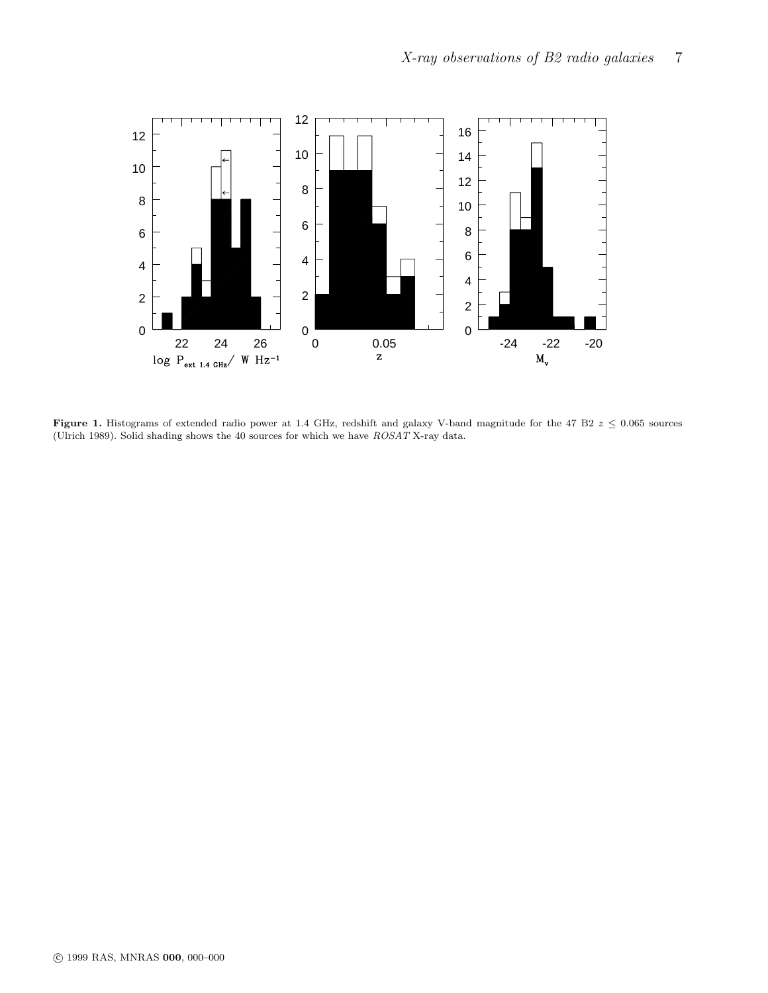

Figure 1. Histograms of extended radio power at 1.4 GHz, redshift and galaxy V-band magnitude for the 47 B2  $z \leq 0.065$  sources (Ulrich 1989). Solid shading shows the 40 sources for which we have ROSAT X-ray data.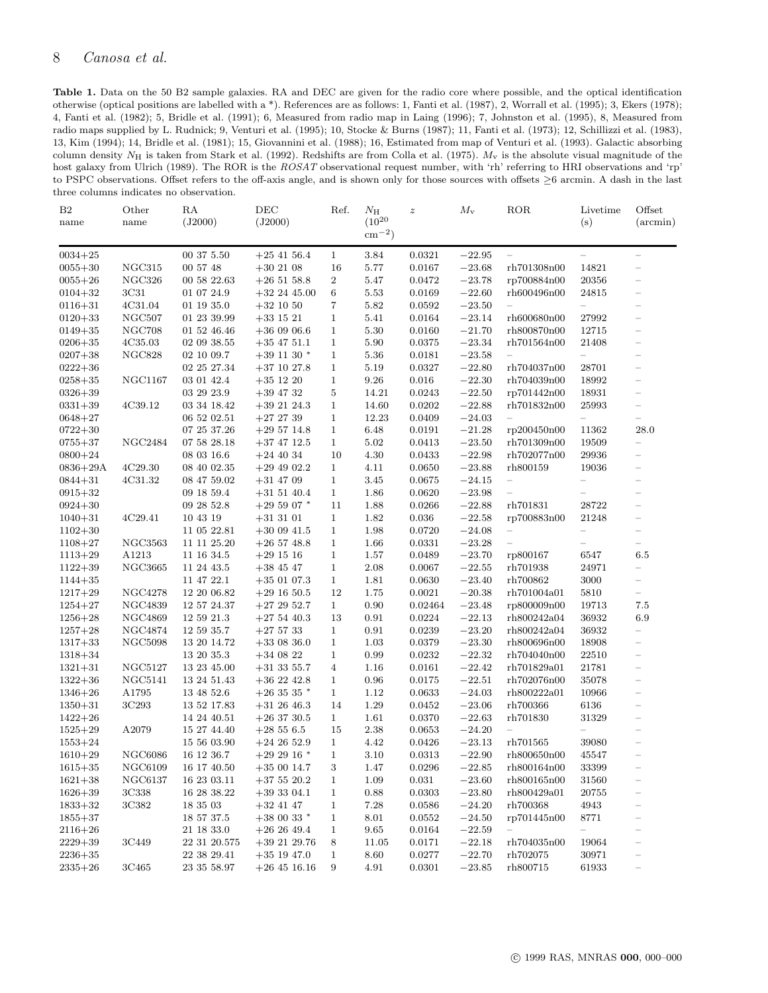# <span id="page-7-0"></span>8 Canosa et al.

Table 1. Data on the 50 B2 sample galaxies. RA and DEC are given for the radio core where possible, and the optical identification otherwise (optical positions are labelled with a \*). References are as follows: 1, Fanti et al. (1987), 2, Worrall et al. (1995); 3, Ekers (1978); 4, Fanti et al. (1982); 5, Bridle et al. (1991); 6, Measured from radio map in Laing (1996); 7, Johnston et al. (1995), 8, Measured from radio maps supplied by L. Rudnick; 9, Venturi et al. (1995); 10, Stocke & Burns (1987); 11, Fanti et al. (1973); 12, Schillizzi et al. (1983), 13, Kim (1994); 14, Bridle et al. (1981); 15, Giovannini et al. (1988); 16, Estimated from map of Venturi et al. (1993). Galactic absorbing column density  $N_{\rm H}$  is taken from Stark et al. (1992). Redshifts are from Colla et al. (1975).  $M_{\rm v}$  is the absolute visual magnitude of the host galaxy from Ulrich (1989). The ROR is the  $ROSAT$  observational request number, with 'rh' referring to HRI observations and 'rp' to PSPC observations. Offset refers to the off-axis angle, and is shown only for those sources with offsets ≥6 arcmin. A dash in the last three columns indicates no observation.

| B <sub>2</sub><br>name | Other<br>name      | RA<br>(J2000)   | DEC<br>(J2000)  | Ref.             | $N_{\rm H}$<br>$(10^{20}$<br>$\rm cm^{-2})$ | $\boldsymbol{z}$ | $M_{\rm v}$ | ROR                               | Livetime<br>(s)          | Offset<br>$(\arcsin)$             |
|------------------------|--------------------|-----------------|-----------------|------------------|---------------------------------------------|------------------|-------------|-----------------------------------|--------------------------|-----------------------------------|
| $0034 + 25$            |                    | 00 37 5.50      | $+25$ 41 56.4   | $\mathbf{1}$     | $3.84\,$                                    | 0.0321           | $-22.95$    |                                   | $\equiv$                 |                                   |
| $0055 + 30$            | NGC315             | 00 57 48        | $+302108$       | 16               | $5.77\,$                                    | 0.0167           | $-23.68$    | rh701308n00                       | 14821                    | ÷                                 |
| $0055 + 26$            | NGC326             | 00 58 22.63     | $+26$ 51 58.8   | $\boldsymbol{2}$ | 5.47                                        | 0.0472           | $-23.78$    | rp700884n00                       | $\boldsymbol{20356}$     |                                   |
| $0104 + 32$            | 3C31               | 01 07 24.9      | $+32$ 24 45.00  | $\,6$            | $5.53\,$                                    | 0.0169           | $-22.60$    | rh600496n00                       | 24815                    |                                   |
| $0116 + 31$            | 4C31.04            | $01$ 19 35.0    | $+32$ 10 50     | 7                | $5.82\,$                                    | 0.0592           | $-23.50$    | $\equiv$                          | $\equiv$                 | -                                 |
| $0120 + 33$            | NGC <sub>507</sub> | 01 23 39.99     | $+33$ 15 21     | 1                | 5.41                                        | 0.0164           | $-23.14$    | rh600680n00                       | 27992                    | $\equiv$                          |
| $0149 + 35$            | <b>NGC708</b>      | 01 52 46.46     | $+360906.6$     | $\mathbf{1}$     | $5.30\,$                                    | 0.0160           | $-21.70$    | rh800870n00                       | 12715                    | $-$                               |
| $0206 + 35$            | 4C35.03            | 02 09 38.55     | $+35$ 47 51.1   | 1                | $5.90\,$                                    | 0.0375           | $-23.34$    | rh701564n00                       | 21408                    | $\qquad \qquad -$                 |
| $0207 + 38$            | NGC828             | 02 10 09.7      | $+39$ 11 30 $*$ | $\mathbf{1}$     | 5.36                                        | 0.0181           | $-23.58$    | $\equiv$                          | $\equiv$                 | ÷                                 |
| $0222 + 36$            |                    | 02 25 27.34     | $+37$ 10 27.8   | $\mathbf{1}$     | 5.19                                        | 0.0327           | $-22.80$    | rh704037n00                       | 28701                    | $\overline{\phantom{0}}$          |
| $0258 + 35$            | NGC1167            | 03 01 42.4      | $+35$ 12 20     | $\mathbf{1}$     | $9.26\,$                                    | $0.016\,$        | $-22.30$    | rh704039n00                       | 18992                    | $\qquad \qquad -$                 |
| $0326 + 39$            |                    | 03 29 23.9      | $+39$ 47 32     | $\bf 5$          | 14.21                                       | 0.0243           | $-22.50$    | rp701442n00                       | 18931                    | $\qquad \qquad -$                 |
| $0331 + 39$            | 4C39.12            | 03 34 18.42     | $+392124.3$     | $\mathbf{1}$     | 14.60                                       | 0.0202           | $-22.88$    | rh701832n00                       | 25993                    |                                   |
| $0648 + 27$            |                    | 06 52 02.51     | $+272739$       | $\mathbf{1}$     | 12.23                                       | 0.0409           | $-24.03$    | $\equiv$                          | $\qquad \qquad -$        | $\qquad \qquad -$                 |
| $0722 + 30$            |                    | 07 25 37.26     | $+29\;57\;14.8$ | 1                | 6.48                                        | 0.0191           | $-21.28$    | rp200450n00                       | 11362                    | 28.0                              |
| $0755 + 37$            | <b>NGC2484</b>     | 07 58 28.18     | $+37$ 47 12.5   | $\mathbf{1}$     | $5.02\,$                                    | 0.0413           | $-23.50$    | rh701309n00                       | 19509                    | $\overline{\phantom{0}}$          |
| $0800 + 24$            |                    | 08 03 16.6      | $+24$ 40 34     | 10               | 4.30                                        | 0.0433           | $-22.98$    | rh702077n00                       | 29936                    |                                   |
| $0836 + 29A$           | 4C29.30            | 08 40 02.35     | $+29\;49\;02.2$ | $\mathbf{1}$     | 4.11                                        | 0.0650           | $-23.88$    | rh800159                          | 19036                    | ÷,                                |
| $0844 + 31$            | 4C31.32            | 08 47 59.02     | $+31$ 47 09     | $\mathbf{1}$     | $3.45\,$                                    | 0.0675           | $-24.15$    | $\equiv$                          | -                        | $\overline{\phantom{0}}$          |
| $0915 + 32$            |                    | 09 18 59.4      | $+31$ 51 40.4   | 1                | 1.86                                        | 0.0620           | $-23.98$    | $\equiv$                          | $\overline{\phantom{0}}$ | $\overline{\phantom{0}}$          |
| $0924 + 30$            |                    | 09 28 52.8      | $+295907$ *     | 11               | 1.88                                        | 0.0266           | $-22.88$    | rh701831                          | 28722                    | $-$                               |
| $1040 + 31$            | 4C29.41            | 10 43 19        | $+31$ 31 01     | 1                | 1.82                                        | 0.036            | $-22.58$    | rp700883n00                       | 21248                    |                                   |
| $1102 + 30$            |                    | 11 05 22.81     | $+300941.5$     | $\mathbf{1}$     | 1.98                                        | 0.0720           | $-24.08$    | $\hspace{1.0cm} - \hspace{1.0cm}$ | $\equiv$                 | $\qquad \qquad -$                 |
| $1108 + 27$            | <b>NGC3563</b>     | 11 11 25.20     | $+26$ 57 48.8   | $\mathbf{1}$     | 1.66                                        | 0.0331           | $-23.28$    | $\overline{\phantom{m}}$          | -                        |                                   |
| $1113 + 29$            | A1213              | 11 16 34.5      | $+29$ 15 16     | $\mathbf{1}$     | $1.57\,$                                    | 0.0489           | $-23.70$    | rp800167                          | 6547                     | 6.5                               |
| $1122 + 39$            | <b>NGC3665</b>     | 11 24 43.5      | $+38$ 45 47     | $\mathbf{1}$     | 2.08                                        | 0.0067           | $-22.55$    | rh701938                          | 24971                    | $\equiv$                          |
| $1144 + 35$            |                    | 11 47 22.1      | $+35$ 01 07.3   | $\mathbf{1}$     | 1.81                                        | 0.0630           | $-23.40$    | rh700862                          | 3000                     | $\overline{\phantom{0}}$          |
| $1217 + 29$            | <b>NGC4278</b>     | 12 20 06.82     | $+29$ 16 50.5   | 12               | 1.75                                        | 0.0021           | $-20.38$    | rh701004a01                       | 5810                     | $\hspace{1.0cm} - \hspace{1.0cm}$ |
| $1254 + 27$            | NGC4839            | 12 57 24.37     | $+272952.7$     | $\mathbf{1}$     | $0.90\,$                                    | 0.02464          | $-23.48$    | rp800009n00                       | 19713                    | $7.5\,$                           |
| $1256 + 28$            | NGC4869            | 12 59 21.3      | $+275440.3$     | 13               | $\rm 0.91$                                  | 0.0224           | $-22.13$    | rh800242a04                       | 36932                    | 6.9                               |
| $1257 + 28$            | <b>NGC4874</b>     | 12 59 35.7      | $+275733$       | $\mathbf{1}$     | $\rm 0.91$                                  | 0.0239           | $-23.20$    | rh800242a04                       | 36932                    |                                   |
| $1317 + 33$            | NGC5098            | 13 20 14.72     | $+33$ 08 36.0   | $\mathbf{1}$     | $1.03\,$                                    | 0.0379           | $-23.30$    | rh800696n00                       | 18908                    | $\overline{\phantom{0}}$          |
| $1318 + 34$            |                    | 13 20 35.3      | $+34$ 08 22     | $\mathbf{1}$     | $\,0.99$                                    | 0.0232           | $-22.32$    | rh704040n00                       | 22510                    | $\overline{\phantom{0}}$          |
| $1321 + 31$            | <b>NGC5127</b>     | 13 23 45.00     | $+31$ 33 55.7   | 4                | 1.16                                        | 0.0161           | $-22.42$    | rh701829a01                       | 21781                    | $\overline{\phantom{0}}$          |
| $1322 + 36$            | NGC5141            | 13 24 51.43     | $+362242.8$     | $\mathbf{1}$     | 0.96                                        | 0.0175           | $-22.51$    | rh702076n00                       | 35078                    | $\qquad \qquad -$                 |
| $1346 + 26$            | A1795              | 13 48 52.6      | $+26$ 35 35 $*$ | 1                | 1.12                                        | 0.0633           | $-24.03$    | rh800222a01                       | 10966                    |                                   |
| $1350 + 31$            | 3C293              | 13 52 17.83     | $+31$ 26 46.3   | 14               | $1.29\,$                                    | 0.0452           | $-23.06$    | rh700366                          | 6136                     | ÷                                 |
| $1422 + 26$            |                    | 14 24 40.51     | $+26\;37\;30.5$ | $\mathbf{1}$     | 1.61                                        | 0.0370           | $-22.63$    | rh701830                          | 31329                    | $\qquad \qquad -$                 |
| $1525 + 29$            | A2079              | $15\ 27\ 44.40$ | $+2856.5$       | 15               | 2.38                                        | 0.0653           | $-24.20$    | $\qquad \qquad =$                 | $\overline{\phantom{0}}$ |                                   |
| $1553 + 24$            |                    | 15 56 03.90     | $+242652.9$     | $\mathbf{1}$     | 4.42                                        | 0.0426           | $-23.13$    | rh701565                          | 39080                    |                                   |
| $1610 + 29$            | NGC6086            | 16 12 36.7      | $+292916*$      | $\mathbf 1$      | 3.10                                        | 0.0313           | $-22.90$    | rh800650n00                       | 45547                    | $\overline{\phantom{m}}$          |
| $1615 + 35$            | NGC6109            | $16\ 17\ 40.50$ | $+350014.7$     | 3                | 1.47                                        | 0.0296           | $-22.85$    | rh800164n00                       | 33399                    |                                   |
| $1621 + 38$            | NGC6137            | 16 23 03.11     | $+37$ 55 20.2   | $\mathbf{1}$     | 1.09                                        | 0.031            | $-23.60$    | rh800165n00                       | 31560                    | $\overline{\phantom{0}}$          |
| $1626 + 39$            | 3C338              | 16 28 38.22     | $+393304.1$     | $\mathbf{1}$     | 0.88                                        | 0.0303           | $-23.80$    | rh800429a01                       | 20755                    | $\qquad \qquad -$                 |
| $1833 + 32$            | 3C382              | 18 35 03        | $+32$ 41 47     | 1                | 7.28                                        | 0.0586           | $-24.20$    | rh700368                          | 4943                     |                                   |
| $1855 + 37$            |                    | 18 57 37.5      | $+380033$ *     | $\mathbf{1}$     | 8.01                                        | 0.0552           | $-24.50$    | rp701445n00                       | 8771                     | $\qquad \qquad -$                 |
| $2116 + 26$            |                    | 21 18 33.0      | $+262649.4$     | 1                | 9.65                                        | 0.0164           | $-22.59$    | $\hspace{1.0cm} - \hspace{1.0cm}$ | $\overline{\phantom{0}}$ |                                   |
| $2229 + 39$            | 3C449              | 22 31 20.575    | $+392129.76$    | 8                | 11.05                                       | 0.0171           | $-22.18$    | rh704035n00                       | 19064                    | $\qquad \qquad -$                 |
| $2236 + 35$            |                    | 22 38 29.41     | $+35$ 19 47.0   | $\mathbf{1}$     | 8.60                                        | 0.0277           | $-22.70$    | rh702075                          | 30971                    | $\qquad \qquad -$                 |
| $2335 + 26$            | 3C465              | 23 35 58.97     | $+26$ 45 16.16  | 9                | 4.91                                        | 0.0301           | $-23.85$    | rh800715                          | 61933                    | $\qquad \qquad -$                 |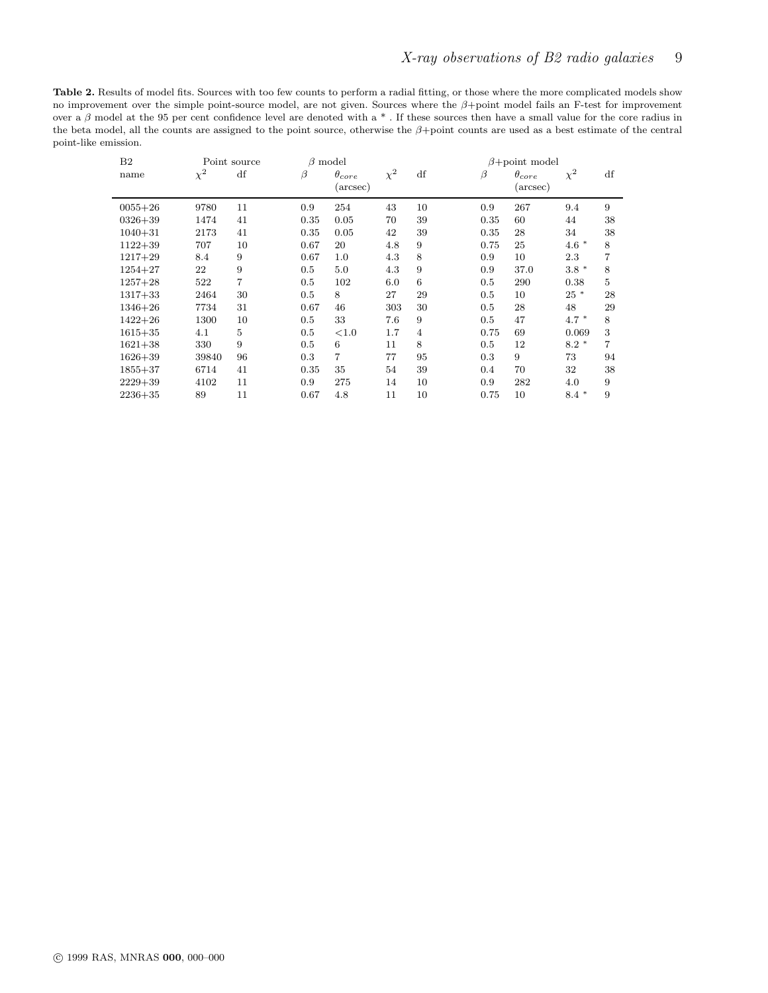<span id="page-8-0"></span>Table 2. Results of model fits. Sources with too few counts to perform a radial fitting, or those where the more complicated models show no improvement over the simple point-source model, are not given. Sources where the β+point model fails an F-test for improvement over a  $\beta$  model at the 95 per cent confidence level are denoted with a  $*$  . If these sources then have a small value for the core radius in the beta model, all the counts are assigned to the point source, otherwise the  $\beta +$ point counts are used as a best estimate of the central point-like emission.

| B <sub>2</sub> | Point source |                | $\beta$ model |                             |          |                | $\beta$ +point model |                             |          |    |
|----------------|--------------|----------------|---------------|-----------------------------|----------|----------------|----------------------|-----------------------------|----------|----|
| name           | $\chi^2$     | df             | $\beta$       | $\theta_{core}$<br>(arcsec) | $\chi^2$ | df             | β                    | $\theta_{core}$<br>(arcsec) | $\chi^2$ | df |
| $0055 + 26$    | 9780         | 11             | 0.9           | 254                         | 43       | 10             | 0.9                  | 267                         | 9.4      | 9  |
| $0326 + 39$    | 1474         | 41             | 0.35          | 0.05                        | 70       | 39             | 0.35                 | 60                          | 44       | 38 |
| $1040 + 31$    | 2173         | 41             | 0.35          | 0.05                        | 42       | 39             | 0.35                 | 28                          | 34       | 38 |
| $1122 + 39$    | 707          | 10             | 0.67          | 20                          | 4.8      | 9              | 0.75                 | 25                          | $4.6*$   | 8  |
| $1217 + 29$    | 8.4          | 9              | 0.67          | 1.0                         | 4.3      | 8              | 0.9                  | 10                          | 2.3      | 7  |
| $1254 + 27$    | 22           | 9              | 0.5           | 5.0                         | 4.3      | 9              | 0.9                  | 37.0                        | $3.8 *$  | 8  |
| $1257 + 28$    | 522          | $\overline{7}$ | 0.5           | 102                         | 6.0      | 6              | 0.5                  | 290                         | 0.38     | 5  |
| $1317 + 33$    | 2464         | 30             | 0.5           | 8                           | 27       | 29             | 0.5                  | 10                          | $25 *$   | 28 |
| $1346 + 26$    | 7734         | 31             | 0.67          | 46                          | 303      | 30             | 0.5                  | 28                          | 48       | 29 |
| $1422 + 26$    | 1300         | 10             | 0.5           | 33                          | 7.6      | 9              | 0.5                  | 47                          | $4.7 *$  | 8  |
| $1615 + 35$    | 4.1          | 5              | 0.5           | ${<}1.0$                    | 1.7      | $\overline{4}$ | 0.75                 | 69                          | 0.069    | 3  |
| $1621 + 38$    | 330          | 9              | 0.5           | 6                           | 11       | 8              | 0.5                  | 12                          | $8.2*$   | 7  |
| $1626 + 39$    | 39840        | 96             | 0.3           | $\overline{7}$              | 77       | 95             | 0.3                  | 9                           | 73       | 94 |
| $1855 + 37$    | 6714         | 41             | 0.35          | 35                          | 54       | 39             | 0.4                  | 70                          | 32       | 38 |
| $2229 + 39$    | 4102         | 11             | 0.9           | 275                         | 14       | 10             | 0.9                  | 282                         | 4.0      | 9  |
| $2236 + 35$    | 89           | 11             | 0.67          | 4.8                         | 11       | 10             | 0.75                 | 10                          | *<br>8.4 | 9  |

 $\overline{\phantom{0}}$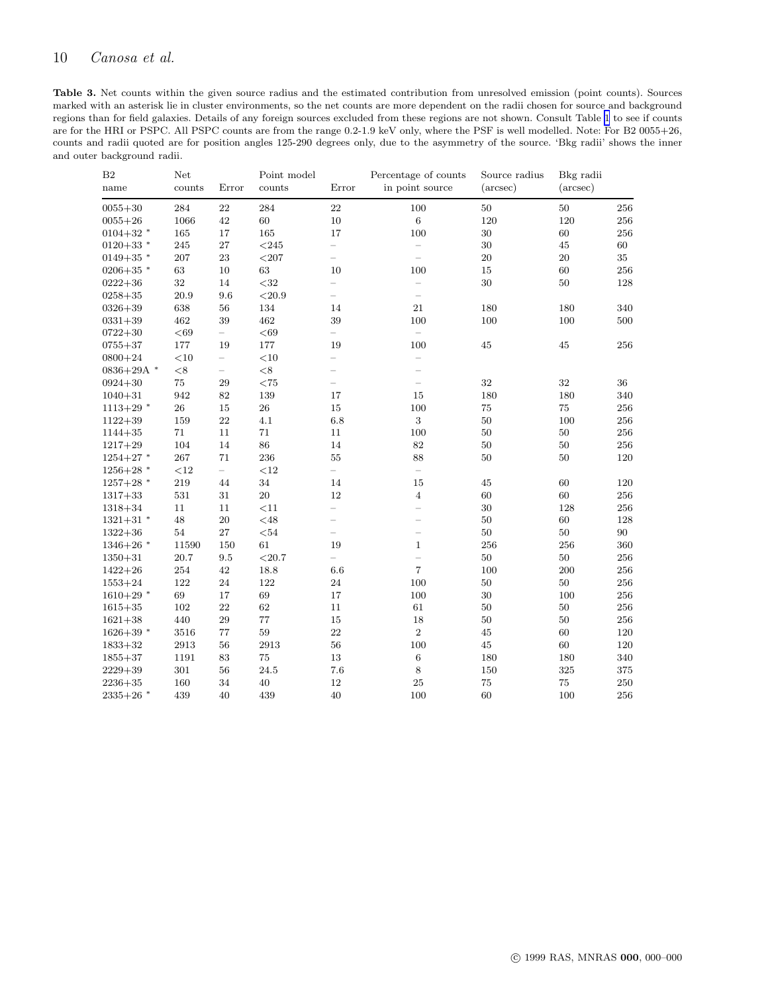<span id="page-9-0"></span>Table 3. Net counts within the given source radius and the estimated contribution from unresolved emission (point counts). Sources marked with an asterisk lie in cluster environments, so the net counts are more dependent on the radii chosen for source and background regions than for field galaxies. Details of any foreign sources excluded from these regions are not shown. Consult Table [1](#page-7-0) to see if counts are for the HRI or PSPC. All PSPC counts are from the range 0.2-1.9 keV only, where the PSF is well modelled. Note: For B2 0055+26, counts and radii quoted are for position angles 125-290 degrees only, due to the asymmetry of the source. 'Bkg radii' shows the inner and outer background radii.

| B <sub>2</sub><br>name | Net<br>counts<br>Error |                          | Point model<br>counts | $\ensuremath{\text{Error}}$ | Percentage of counts<br>in point source | Source radius<br>$(\text{arcsec})$ | Bkg radii<br>$(\text{arcsec})$ |         |
|------------------------|------------------------|--------------------------|-----------------------|-----------------------------|-----------------------------------------|------------------------------------|--------------------------------|---------|
| $0055 + 30$            | 284                    | 22                       | 284                   | 22                          | 100                                     | $50\,$                             | 50                             | 256     |
| $0055 + 26$            | 1066                   | 42                       | 60                    | 10                          | $\,6\,$                                 | 120                                | 120                            | 256     |
| $0104 + 32$ *          | 165                    | 17                       | $165\,$               | 17                          | 100                                     | $30\,$                             | 60                             | 256     |
| $0120 + 33$ *          | 245                    | 27                       | $< \! 245$            | $\equiv$                    | $\overline{\phantom{0}}$                | 30                                 | 45                             | 60      |
| $0149+35$ *            | 207                    | $\bf 23$                 | $<$ 207               | $\qquad \qquad -$           | $\qquad \qquad -$                       | $20\,$                             | $20\,$                         | 35      |
| $0206 + 35$ *          | $63\,$                 | $10\,$                   | 63                    | 10                          | 100                                     | 15                                 | 60                             | 256     |
| $0222 + 36$            | $32\,$                 | 14                       | $<$ 32                | $\qquad \qquad -$           | $\overline{a}$                          | $30\,$                             | $50\,$                         | 128     |
| $0258 + 35$            | 20.9                   | 9.6                      | ${<}20.9$             | $\qquad \qquad -$           | $\equiv$                                |                                    |                                |         |
| $0326 + 39$            | 638                    | 56                       | 134                   | 14                          | 21                                      | 180                                | 180                            | 340     |
| $0331 + 39$            | 462                    | 39                       | $462\,$               | 39                          | 100                                     | 100                                | 100                            | 500     |
| $0722 + 30$            | $<\!69$                | $\overline{\phantom{0}}$ | < 69                  | $\overline{\phantom{0}}$    | $\equiv$                                |                                    |                                |         |
| $0755 + 37$            | 177                    | 19                       | 177                   | 19                          | 100                                     | 45                                 | 45                             | 256     |
| $0800 + 24$            | $<\!10$                | $\equiv$                 | $<$ 10                | $\qquad \qquad -$           | ÷,                                      |                                    |                                |         |
| $0836+29A$ *           | ${ <}8$                | $\overline{\phantom{0}}$ | $<$ 8                 | $\qquad \qquad -$           | $\overline{\phantom{0}}$                |                                    |                                |         |
| $0924 + 30$            | $75\,$                 | $\,29$                   | $<$ 75                | $\overline{\phantom{0}}$    | $\overline{\phantom{0}}$                | 32                                 | $32\,$                         | $36\,$  |
| $1040 + 31$            | 942                    | 82                       | 139                   | 17                          | 15                                      | 180                                | 180                            | 340     |
| $1113+29$ *            | ${\bf 26}$             | $15\,$                   | ${\bf 26}$            | 15                          | 100                                     | 75                                 | $75\,$                         | 256     |
| $1122 + 39$            | 159                    | 22                       | 4.1                   | 6.8                         | 3                                       | 50                                 | 100                            | 256     |
| $1144 + 35$            | 71                     | 11                       | $71\,$                | 11                          | 100                                     | $50\,$                             | $50\,$                         | 256     |
| $1217 + 29$            | 104                    | 14                       | $86\,$                | 14                          | $82\,$                                  | 50                                 | 50                             | 256     |
| $1254+27$ *            | 267                    | $71\,$                   | 236                   | 55                          | 88                                      | $50\,$                             | 50                             | 120     |
| $1256+28$ *            | $<\!12$                | $\equiv$                 | $<$ 12                | $\equiv$                    | $\equiv$                                |                                    |                                |         |
| $1257+28$ *            | 219                    | 44                       | 34                    | 14                          | 15                                      | 45                                 | 60                             | 120     |
| $1317 + 33$            | $531\,$                | 31                       | $20\,$                | 12                          | $\overline{4}$                          | 60                                 | 60                             | 256     |
| $1318 + 34$            | 11                     | 11                       | <11                   | $\overline{\phantom{0}}$    | $\overline{\phantom{0}}$                | 30                                 | 128                            | 256     |
| $1321+31$ *            | 48                     | $20\,$                   | $<$ 48                | $\overline{\phantom{0}}$    | $\qquad \qquad -$                       | $50\,$                             | 60                             | 128     |
| $1322 + 36$            | 54                     | 27                       | $54$                  | $\equiv$                    | $\equiv$                                | 50                                 | 50                             | 90      |
| $1346+26$ *            | 11590                  | 150                      | 61                    | 19                          | $\mathbf{1}$                            | 256                                | 256                            | 360     |
| $1350 + 31$            | 20.7                   | 9.5                      | $<$ 20.7              | $\equiv$                    | $\overline{a}$                          | $50\,$                             | $50\,$                         | 256     |
| $1422 + 26$            | 254                    | 42                       | 18.8                  | 6.6                         | $\overline{7}$                          | 100                                | 200                            | 256     |
| $1553 + 24$            | 122                    | 24                       | 122                   | 24                          | 100                                     | $50\,$                             | $50\,$                         | 256     |
| $1610+29$ *            | 69                     | 17                       | 69                    | 17                          | 100                                     | 30                                 | 100                            | 256     |
| $1615 + 35$            | 102                    | 22                       | 62                    | 11                          | 61                                      | 50                                 | 50                             | 256     |
| $1621 + 38$            | 440                    | 29                       | 77                    | 15                          | 18                                      | $50\,$                             | 50                             | 256     |
| $1626+39$ *            | 3516                   | $77\,$                   | 59                    | 22                          | $\,2$                                   | 45                                 | 60                             | 120     |
| $1833 + 32$            | 2913                   | $56\,$                   | 2913                  | 56                          | 100                                     | 45                                 | 60                             | $120\,$ |
| $1855 + 37$            | 1191                   | 83                       | 75                    | 13                          | $\,6$                                   | 180                                | 180                            | 340     |
| $2229 + 39$            | 301                    | 56                       | 24.5                  | 7.6                         | 8                                       | 150                                | 325                            | $375\,$ |
| $2236 + 35$            | 160                    | 34                       | 40                    | 12                          | 25                                      | $75\,$                             | 75                             | 250     |
| $2335+26$ *            | 439                    | 40                       | 439                   | 40                          | 100                                     | 60                                 | 100                            | 256     |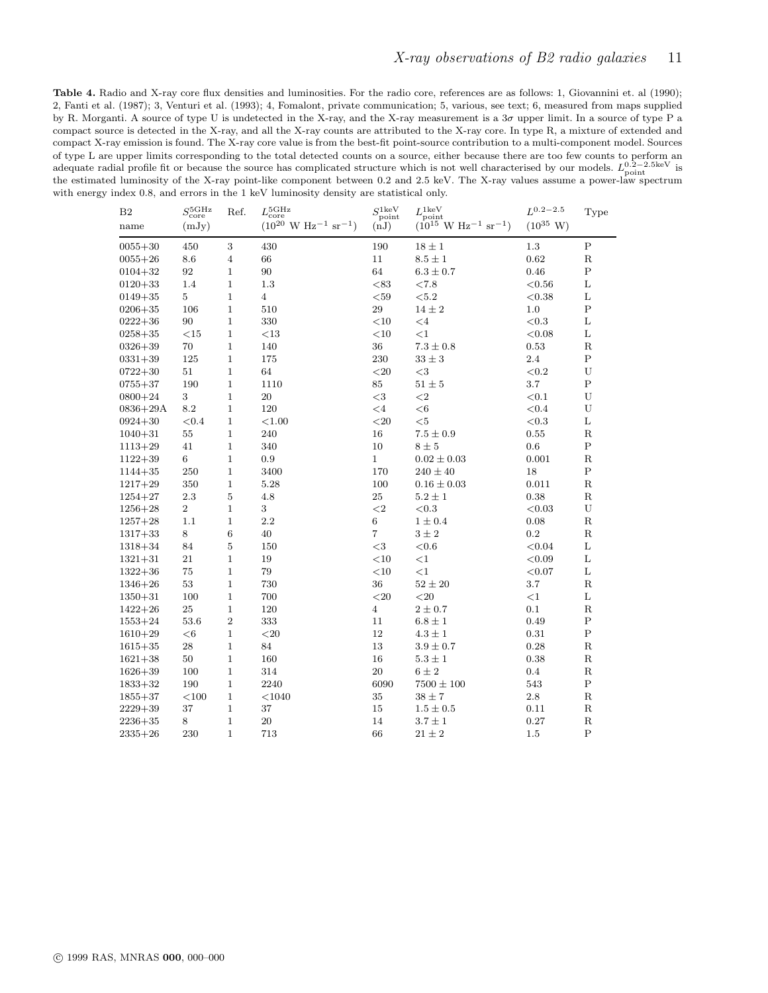<span id="page-10-0"></span>Table 4. Radio and X-ray core flux densities and luminosities. For the radio core, references are as follows: 1, Giovannini et. al (1990); 2, Fanti et al. (1987); 3, Venturi et al. (1993); 4, Fomalont, private communication; 5, various, see text; 6, measured from maps supplied by R. Morganti. A source of type U is undetected in the X-ray, and the X-ray measurement is a  $3\sigma$  upper limit. In a source of type P a compact source is detected in the X-ray, and all the X-ray counts are attributed to the X-ray core. In type R, a mixture of extended and compact X-ray emission is found. The X-ray core value is from the best-fit point-source contribution to a multi-component model. Sources of type L are upper limits corresponding to the total detected counts on a source, either because there are too few counts to perform an adequate radial profile fit or because the source has complicated structure which is not well characterised by our models.  $L_{\text{point}}^{0.2-2.5\text{keV}}$  is the estimated luminosity of the X-ray point-like component between 0.2 and 2.5 keV. The X-ray values assume a power-law spectrum with energy index 0.8, and errors in the 1 keV luminosity density are statistical only.

| 3<br>1.3<br>$\mathbf P$<br>450<br>190<br>$0055 + 30$<br>430<br>$18 \pm 1$<br>${\bf R}$<br>$0055 + 26$<br>8.6<br>4<br>11<br>$8.5 \pm 1$<br>0.62<br>66<br>$\mathbf P$<br>92<br>90<br>64<br>0.46<br>$0104 + 32$<br>1<br>$6.3 \pm 0.7$<br>L<br>< 83<br>$0120 + 33$<br>1.4<br>$\mathbf 1$<br>1.3<br>${<}7.8$<br>< 0.56<br>L<br>5<br>$\mathbf{1}$<br>$\overline{4}$<br>$< \negspace 59$<br>< 5.2<br>< 0.38<br>$0149 + 35$<br>$\rm P$<br>$\,29$<br>$0206 + 35$<br>106<br>$\mathbf 1$<br>510<br>$14 \pm 2$<br>1.0<br>$0222 + 36$<br>90<br>$\mathbf{1}$<br>330<br>$<$ 10<br>< 0.3<br>L<br>$\leq 4$<br>L<br>$<$ 10<br>< 0.08<br>$0258 + 35$<br>$<$ 15<br>$\mathbf 1$<br><13<br><1<br>$\mathbf R$<br>70<br>$\mathbf{1}$<br>140<br>36<br>$7.3 \pm 0.8$<br>0.53<br>$0326 + 39$<br>$\mathbf P$<br>125<br>230<br>$33\pm3$<br>2.4<br>$0331 + 39$<br>$\mathbf 1$<br>175<br>51<br>$\mathbf 1$<br>64<br>${<}20$<br>${<}3$<br>< 0.2<br>U<br>$0722 + 30$<br>$\mathbf P$<br>190<br>$\mathbf 1$<br>85<br>$51 \pm 5$<br>3.7<br>$0755 + 37$<br>1110<br>3<br>20<br>${<}3$<br>${<}2$<br>$<\!\!0.1$<br>U<br>$0800 + 24$<br>$\mathbf 1$<br>U<br>8.2<br>$\mathbf{1}$<br>120<br>$\leq 4$<br>$<$ 6<br>${<}0.4$<br>$0836 + 29A$<br>${<}20$<br>L<br>$0924 + 30$<br>< 0.4<br>$\mathbf 1$<br>< 1.00<br>${<}5$<br>< 0.3<br>55<br>$\mathbf{1}$<br>240<br>16<br>$7.5 \pm 0.9$<br>0.55<br>$\mathbb R$<br>$1040 + 31$<br>$\mathbf P$<br>41<br>0.6<br>$1113 + 29$<br>$\mathbf 1$<br>340<br>10<br>$8 \pm 5$<br>6<br>$\mathbf{1}$<br>0.9<br>$\mathbf{1}$<br>$0.02 \pm 0.03$<br>0.001<br>$_{\rm R}$<br>$1122 + 39$<br>$\mathbf P$<br>170<br>18<br>$1144 + 35$<br>250<br>1<br>3400<br>$240 \pm 40$<br>${\bf R}$<br>350<br>1<br>5.28<br>100<br>$0.16 \pm 0.03$<br>0.011<br>$1217 + 29$<br>$\mathbf R$<br>2.3<br>$\overline{5}$<br>4.8<br>25<br>$5.2\pm1$<br>0.38<br>$1254 + 27$<br>$\overline{2}$<br>$\sqrt{3}$<br>${<}2$<br>$<\!\!0.3$<br>U<br>$1256 + 28$<br>$\mathbf 1$<br>< 0.03<br>$\mathbf R$<br>1.1<br>$\mathbf{1}$<br>2.2<br>$\,6\,$<br>$1 \pm 0.4$<br>0.08<br>$1257 + 28$<br>8<br>$6\phantom{1}6$<br>$\overline{7}$<br>$3\pm2$<br>$\rm 0.2$<br>${\bf R}$<br>$1317 + 33$<br>40<br>$\overline{5}$<br>L<br>84<br>150<br>$<$ 3<br>${<}0.6$<br>< 0.04<br>$1318 + 34$<br>$<$ 10<br>L<br>$1321 + 31$<br>21<br>$\mathbf 1$<br>19<br><1<br>< 0.09<br>$1322 + 36$<br>75<br>$\mathbf{1}$<br>79<br>$<$ 10<br>$\leq$ 1<br>L<br>< 0.07<br>53<br>$\mathbf{1}$<br>730<br>36<br>$52\pm20$<br>3.7<br>$\mathbb R$<br>$1346 + 26$<br>$< \! 20$<br>L<br>$1350 + 31$<br>100<br>$\mathbf{1}$<br>700<br>${<}20$<br>$<$ 1<br>25<br>$\overline{4}$<br>0.1<br>$\mathbf R$<br>$1422 + 26$<br>$\mathbf 1$<br>120<br>$2 \pm 0.7$<br>$\,2$<br>$\mathbf P$<br>$1553 + 24$<br>53.6<br>333<br>11<br>$6.8 \pm 1$<br>0.49<br>$\mathbf P$<br>$1610 + 29$<br>$<\!6$<br>$\mathbf 1$<br>$<$ 20<br>12<br>$4.3\pm1$<br>0.31<br>${\bf R}$<br>28<br>$\mathbf 1$<br>84<br>13<br>$3.9 \pm 0.7$<br>0.28<br>$1615 + 35$<br>$\mathbf R$<br>$1621 + 38$<br>50<br>$\mathbf{1}$<br>16<br>$5.3 \pm 1$<br>0.38<br>160<br>20<br>${\bf R}$<br>$1626 + 39$<br>100<br>$\mathbf 1$<br>314<br>$6 \pm 2$<br>0.4<br>6090<br>$\mathbf P$<br>190<br>2240<br>543<br>$1833 + 32$<br>1<br>$7500 \pm 100$<br>35<br>$2.8\,$<br>${\bf R}$<br>$1855 + 37$<br>$<$ 100<br>$\mathbf 1$<br>$<$ 1040<br>$38 \pm 7$<br>${\bf R}$<br>$2229 + 39$<br>37<br>37<br>15<br>$1.5 \pm 0.5$<br>0.11<br>$\mathbf 1$<br>$2236 + 35$<br>8<br>$\mathbf{1}$<br>20<br>14<br>$3.7 \pm 1$<br>0.27<br>$\mathbf R$<br>$\mathbf P$<br>1<br>713<br>66 | B <sub>2</sub><br>name | $S_{\rm core}^{\rm 5 GHz}$<br>(mJy) | Ref. | $L_{\rm core}^{\rm 5 GHz}$<br>$(10^{20} \text{ W Hz}^{-1} \text{ sr}^{-1})$ | $S_{\rm point}^{\rm 1 keV}$<br>(nJ) | $L_{\rm point}^{\rm 1 keV}$<br>$(10^{15} \text{ W Hz}^{-1} \text{ sr}^{-1})$ | $L^{0.2-2.5}$<br>$(10^{35} \text{ W})$ | Type |
|---------------------------------------------------------------------------------------------------------------------------------------------------------------------------------------------------------------------------------------------------------------------------------------------------------------------------------------------------------------------------------------------------------------------------------------------------------------------------------------------------------------------------------------------------------------------------------------------------------------------------------------------------------------------------------------------------------------------------------------------------------------------------------------------------------------------------------------------------------------------------------------------------------------------------------------------------------------------------------------------------------------------------------------------------------------------------------------------------------------------------------------------------------------------------------------------------------------------------------------------------------------------------------------------------------------------------------------------------------------------------------------------------------------------------------------------------------------------------------------------------------------------------------------------------------------------------------------------------------------------------------------------------------------------------------------------------------------------------------------------------------------------------------------------------------------------------------------------------------------------------------------------------------------------------------------------------------------------------------------------------------------------------------------------------------------------------------------------------------------------------------------------------------------------------------------------------------------------------------------------------------------------------------------------------------------------------------------------------------------------------------------------------------------------------------------------------------------------------------------------------------------------------------------------------------------------------------------------------------------------------------------------------------------------------------------------------------------------------------------------------------------------------------------------------------------------------------------------------------------------------------------------------------------------------------------------------------------------------------------------------------------------------------------------------------------------------------------------------------------------------------------------------------------------------------------------------------------------------------------------------------------------------------------------------------------------------------------------------------------------------------------------------------------------------------------------------------------------------------------------------------------|------------------------|-------------------------------------|------|-----------------------------------------------------------------------------|-------------------------------------|------------------------------------------------------------------------------|----------------------------------------|------|
|                                                                                                                                                                                                                                                                                                                                                                                                                                                                                                                                                                                                                                                                                                                                                                                                                                                                                                                                                                                                                                                                                                                                                                                                                                                                                                                                                                                                                                                                                                                                                                                                                                                                                                                                                                                                                                                                                                                                                                                                                                                                                                                                                                                                                                                                                                                                                                                                                                                                                                                                                                                                                                                                                                                                                                                                                                                                                                                                                                                                                                                                                                                                                                                                                                                                                                                                                                                                                                                                                                               |                        |                                     |      |                                                                             |                                     |                                                                              |                                        |      |
|                                                                                                                                                                                                                                                                                                                                                                                                                                                                                                                                                                                                                                                                                                                                                                                                                                                                                                                                                                                                                                                                                                                                                                                                                                                                                                                                                                                                                                                                                                                                                                                                                                                                                                                                                                                                                                                                                                                                                                                                                                                                                                                                                                                                                                                                                                                                                                                                                                                                                                                                                                                                                                                                                                                                                                                                                                                                                                                                                                                                                                                                                                                                                                                                                                                                                                                                                                                                                                                                                                               |                        |                                     |      |                                                                             |                                     |                                                                              |                                        |      |
|                                                                                                                                                                                                                                                                                                                                                                                                                                                                                                                                                                                                                                                                                                                                                                                                                                                                                                                                                                                                                                                                                                                                                                                                                                                                                                                                                                                                                                                                                                                                                                                                                                                                                                                                                                                                                                                                                                                                                                                                                                                                                                                                                                                                                                                                                                                                                                                                                                                                                                                                                                                                                                                                                                                                                                                                                                                                                                                                                                                                                                                                                                                                                                                                                                                                                                                                                                                                                                                                                                               |                        |                                     |      |                                                                             |                                     |                                                                              |                                        |      |
|                                                                                                                                                                                                                                                                                                                                                                                                                                                                                                                                                                                                                                                                                                                                                                                                                                                                                                                                                                                                                                                                                                                                                                                                                                                                                                                                                                                                                                                                                                                                                                                                                                                                                                                                                                                                                                                                                                                                                                                                                                                                                                                                                                                                                                                                                                                                                                                                                                                                                                                                                                                                                                                                                                                                                                                                                                                                                                                                                                                                                                                                                                                                                                                                                                                                                                                                                                                                                                                                                                               |                        |                                     |      |                                                                             |                                     |                                                                              |                                        |      |
|                                                                                                                                                                                                                                                                                                                                                                                                                                                                                                                                                                                                                                                                                                                                                                                                                                                                                                                                                                                                                                                                                                                                                                                                                                                                                                                                                                                                                                                                                                                                                                                                                                                                                                                                                                                                                                                                                                                                                                                                                                                                                                                                                                                                                                                                                                                                                                                                                                                                                                                                                                                                                                                                                                                                                                                                                                                                                                                                                                                                                                                                                                                                                                                                                                                                                                                                                                                                                                                                                                               |                        |                                     |      |                                                                             |                                     |                                                                              |                                        |      |
|                                                                                                                                                                                                                                                                                                                                                                                                                                                                                                                                                                                                                                                                                                                                                                                                                                                                                                                                                                                                                                                                                                                                                                                                                                                                                                                                                                                                                                                                                                                                                                                                                                                                                                                                                                                                                                                                                                                                                                                                                                                                                                                                                                                                                                                                                                                                                                                                                                                                                                                                                                                                                                                                                                                                                                                                                                                                                                                                                                                                                                                                                                                                                                                                                                                                                                                                                                                                                                                                                                               |                        |                                     |      |                                                                             |                                     |                                                                              |                                        |      |
|                                                                                                                                                                                                                                                                                                                                                                                                                                                                                                                                                                                                                                                                                                                                                                                                                                                                                                                                                                                                                                                                                                                                                                                                                                                                                                                                                                                                                                                                                                                                                                                                                                                                                                                                                                                                                                                                                                                                                                                                                                                                                                                                                                                                                                                                                                                                                                                                                                                                                                                                                                                                                                                                                                                                                                                                                                                                                                                                                                                                                                                                                                                                                                                                                                                                                                                                                                                                                                                                                                               |                        |                                     |      |                                                                             |                                     |                                                                              |                                        |      |
|                                                                                                                                                                                                                                                                                                                                                                                                                                                                                                                                                                                                                                                                                                                                                                                                                                                                                                                                                                                                                                                                                                                                                                                                                                                                                                                                                                                                                                                                                                                                                                                                                                                                                                                                                                                                                                                                                                                                                                                                                                                                                                                                                                                                                                                                                                                                                                                                                                                                                                                                                                                                                                                                                                                                                                                                                                                                                                                                                                                                                                                                                                                                                                                                                                                                                                                                                                                                                                                                                                               |                        |                                     |      |                                                                             |                                     |                                                                              |                                        |      |
|                                                                                                                                                                                                                                                                                                                                                                                                                                                                                                                                                                                                                                                                                                                                                                                                                                                                                                                                                                                                                                                                                                                                                                                                                                                                                                                                                                                                                                                                                                                                                                                                                                                                                                                                                                                                                                                                                                                                                                                                                                                                                                                                                                                                                                                                                                                                                                                                                                                                                                                                                                                                                                                                                                                                                                                                                                                                                                                                                                                                                                                                                                                                                                                                                                                                                                                                                                                                                                                                                                               |                        |                                     |      |                                                                             |                                     |                                                                              |                                        |      |
|                                                                                                                                                                                                                                                                                                                                                                                                                                                                                                                                                                                                                                                                                                                                                                                                                                                                                                                                                                                                                                                                                                                                                                                                                                                                                                                                                                                                                                                                                                                                                                                                                                                                                                                                                                                                                                                                                                                                                                                                                                                                                                                                                                                                                                                                                                                                                                                                                                                                                                                                                                                                                                                                                                                                                                                                                                                                                                                                                                                                                                                                                                                                                                                                                                                                                                                                                                                                                                                                                                               |                        |                                     |      |                                                                             |                                     |                                                                              |                                        |      |
|                                                                                                                                                                                                                                                                                                                                                                                                                                                                                                                                                                                                                                                                                                                                                                                                                                                                                                                                                                                                                                                                                                                                                                                                                                                                                                                                                                                                                                                                                                                                                                                                                                                                                                                                                                                                                                                                                                                                                                                                                                                                                                                                                                                                                                                                                                                                                                                                                                                                                                                                                                                                                                                                                                                                                                                                                                                                                                                                                                                                                                                                                                                                                                                                                                                                                                                                                                                                                                                                                                               |                        |                                     |      |                                                                             |                                     |                                                                              |                                        |      |
|                                                                                                                                                                                                                                                                                                                                                                                                                                                                                                                                                                                                                                                                                                                                                                                                                                                                                                                                                                                                                                                                                                                                                                                                                                                                                                                                                                                                                                                                                                                                                                                                                                                                                                                                                                                                                                                                                                                                                                                                                                                                                                                                                                                                                                                                                                                                                                                                                                                                                                                                                                                                                                                                                                                                                                                                                                                                                                                                                                                                                                                                                                                                                                                                                                                                                                                                                                                                                                                                                                               |                        |                                     |      |                                                                             |                                     |                                                                              |                                        |      |
|                                                                                                                                                                                                                                                                                                                                                                                                                                                                                                                                                                                                                                                                                                                                                                                                                                                                                                                                                                                                                                                                                                                                                                                                                                                                                                                                                                                                                                                                                                                                                                                                                                                                                                                                                                                                                                                                                                                                                                                                                                                                                                                                                                                                                                                                                                                                                                                                                                                                                                                                                                                                                                                                                                                                                                                                                                                                                                                                                                                                                                                                                                                                                                                                                                                                                                                                                                                                                                                                                                               |                        |                                     |      |                                                                             |                                     |                                                                              |                                        |      |
|                                                                                                                                                                                                                                                                                                                                                                                                                                                                                                                                                                                                                                                                                                                                                                                                                                                                                                                                                                                                                                                                                                                                                                                                                                                                                                                                                                                                                                                                                                                                                                                                                                                                                                                                                                                                                                                                                                                                                                                                                                                                                                                                                                                                                                                                                                                                                                                                                                                                                                                                                                                                                                                                                                                                                                                                                                                                                                                                                                                                                                                                                                                                                                                                                                                                                                                                                                                                                                                                                                               |                        |                                     |      |                                                                             |                                     |                                                                              |                                        |      |
|                                                                                                                                                                                                                                                                                                                                                                                                                                                                                                                                                                                                                                                                                                                                                                                                                                                                                                                                                                                                                                                                                                                                                                                                                                                                                                                                                                                                                                                                                                                                                                                                                                                                                                                                                                                                                                                                                                                                                                                                                                                                                                                                                                                                                                                                                                                                                                                                                                                                                                                                                                                                                                                                                                                                                                                                                                                                                                                                                                                                                                                                                                                                                                                                                                                                                                                                                                                                                                                                                                               |                        |                                     |      |                                                                             |                                     |                                                                              |                                        |      |
|                                                                                                                                                                                                                                                                                                                                                                                                                                                                                                                                                                                                                                                                                                                                                                                                                                                                                                                                                                                                                                                                                                                                                                                                                                                                                                                                                                                                                                                                                                                                                                                                                                                                                                                                                                                                                                                                                                                                                                                                                                                                                                                                                                                                                                                                                                                                                                                                                                                                                                                                                                                                                                                                                                                                                                                                                                                                                                                                                                                                                                                                                                                                                                                                                                                                                                                                                                                                                                                                                                               |                        |                                     |      |                                                                             |                                     |                                                                              |                                        |      |
|                                                                                                                                                                                                                                                                                                                                                                                                                                                                                                                                                                                                                                                                                                                                                                                                                                                                                                                                                                                                                                                                                                                                                                                                                                                                                                                                                                                                                                                                                                                                                                                                                                                                                                                                                                                                                                                                                                                                                                                                                                                                                                                                                                                                                                                                                                                                                                                                                                                                                                                                                                                                                                                                                                                                                                                                                                                                                                                                                                                                                                                                                                                                                                                                                                                                                                                                                                                                                                                                                                               |                        |                                     |      |                                                                             |                                     |                                                                              |                                        |      |
|                                                                                                                                                                                                                                                                                                                                                                                                                                                                                                                                                                                                                                                                                                                                                                                                                                                                                                                                                                                                                                                                                                                                                                                                                                                                                                                                                                                                                                                                                                                                                                                                                                                                                                                                                                                                                                                                                                                                                                                                                                                                                                                                                                                                                                                                                                                                                                                                                                                                                                                                                                                                                                                                                                                                                                                                                                                                                                                                                                                                                                                                                                                                                                                                                                                                                                                                                                                                                                                                                                               |                        |                                     |      |                                                                             |                                     |                                                                              |                                        |      |
|                                                                                                                                                                                                                                                                                                                                                                                                                                                                                                                                                                                                                                                                                                                                                                                                                                                                                                                                                                                                                                                                                                                                                                                                                                                                                                                                                                                                                                                                                                                                                                                                                                                                                                                                                                                                                                                                                                                                                                                                                                                                                                                                                                                                                                                                                                                                                                                                                                                                                                                                                                                                                                                                                                                                                                                                                                                                                                                                                                                                                                                                                                                                                                                                                                                                                                                                                                                                                                                                                                               |                        |                                     |      |                                                                             |                                     |                                                                              |                                        |      |
|                                                                                                                                                                                                                                                                                                                                                                                                                                                                                                                                                                                                                                                                                                                                                                                                                                                                                                                                                                                                                                                                                                                                                                                                                                                                                                                                                                                                                                                                                                                                                                                                                                                                                                                                                                                                                                                                                                                                                                                                                                                                                                                                                                                                                                                                                                                                                                                                                                                                                                                                                                                                                                                                                                                                                                                                                                                                                                                                                                                                                                                                                                                                                                                                                                                                                                                                                                                                                                                                                                               |                        |                                     |      |                                                                             |                                     |                                                                              |                                        |      |
|                                                                                                                                                                                                                                                                                                                                                                                                                                                                                                                                                                                                                                                                                                                                                                                                                                                                                                                                                                                                                                                                                                                                                                                                                                                                                                                                                                                                                                                                                                                                                                                                                                                                                                                                                                                                                                                                                                                                                                                                                                                                                                                                                                                                                                                                                                                                                                                                                                                                                                                                                                                                                                                                                                                                                                                                                                                                                                                                                                                                                                                                                                                                                                                                                                                                                                                                                                                                                                                                                                               |                        |                                     |      |                                                                             |                                     |                                                                              |                                        |      |
|                                                                                                                                                                                                                                                                                                                                                                                                                                                                                                                                                                                                                                                                                                                                                                                                                                                                                                                                                                                                                                                                                                                                                                                                                                                                                                                                                                                                                                                                                                                                                                                                                                                                                                                                                                                                                                                                                                                                                                                                                                                                                                                                                                                                                                                                                                                                                                                                                                                                                                                                                                                                                                                                                                                                                                                                                                                                                                                                                                                                                                                                                                                                                                                                                                                                                                                                                                                                                                                                                                               |                        |                                     |      |                                                                             |                                     |                                                                              |                                        |      |
|                                                                                                                                                                                                                                                                                                                                                                                                                                                                                                                                                                                                                                                                                                                                                                                                                                                                                                                                                                                                                                                                                                                                                                                                                                                                                                                                                                                                                                                                                                                                                                                                                                                                                                                                                                                                                                                                                                                                                                                                                                                                                                                                                                                                                                                                                                                                                                                                                                                                                                                                                                                                                                                                                                                                                                                                                                                                                                                                                                                                                                                                                                                                                                                                                                                                                                                                                                                                                                                                                                               |                        |                                     |      |                                                                             |                                     |                                                                              |                                        |      |
|                                                                                                                                                                                                                                                                                                                                                                                                                                                                                                                                                                                                                                                                                                                                                                                                                                                                                                                                                                                                                                                                                                                                                                                                                                                                                                                                                                                                                                                                                                                                                                                                                                                                                                                                                                                                                                                                                                                                                                                                                                                                                                                                                                                                                                                                                                                                                                                                                                                                                                                                                                                                                                                                                                                                                                                                                                                                                                                                                                                                                                                                                                                                                                                                                                                                                                                                                                                                                                                                                                               |                        |                                     |      |                                                                             |                                     |                                                                              |                                        |      |
|                                                                                                                                                                                                                                                                                                                                                                                                                                                                                                                                                                                                                                                                                                                                                                                                                                                                                                                                                                                                                                                                                                                                                                                                                                                                                                                                                                                                                                                                                                                                                                                                                                                                                                                                                                                                                                                                                                                                                                                                                                                                                                                                                                                                                                                                                                                                                                                                                                                                                                                                                                                                                                                                                                                                                                                                                                                                                                                                                                                                                                                                                                                                                                                                                                                                                                                                                                                                                                                                                                               |                        |                                     |      |                                                                             |                                     |                                                                              |                                        |      |
|                                                                                                                                                                                                                                                                                                                                                                                                                                                                                                                                                                                                                                                                                                                                                                                                                                                                                                                                                                                                                                                                                                                                                                                                                                                                                                                                                                                                                                                                                                                                                                                                                                                                                                                                                                                                                                                                                                                                                                                                                                                                                                                                                                                                                                                                                                                                                                                                                                                                                                                                                                                                                                                                                                                                                                                                                                                                                                                                                                                                                                                                                                                                                                                                                                                                                                                                                                                                                                                                                                               |                        |                                     |      |                                                                             |                                     |                                                                              |                                        |      |
|                                                                                                                                                                                                                                                                                                                                                                                                                                                                                                                                                                                                                                                                                                                                                                                                                                                                                                                                                                                                                                                                                                                                                                                                                                                                                                                                                                                                                                                                                                                                                                                                                                                                                                                                                                                                                                                                                                                                                                                                                                                                                                                                                                                                                                                                                                                                                                                                                                                                                                                                                                                                                                                                                                                                                                                                                                                                                                                                                                                                                                                                                                                                                                                                                                                                                                                                                                                                                                                                                                               |                        |                                     |      |                                                                             |                                     |                                                                              |                                        |      |
|                                                                                                                                                                                                                                                                                                                                                                                                                                                                                                                                                                                                                                                                                                                                                                                                                                                                                                                                                                                                                                                                                                                                                                                                                                                                                                                                                                                                                                                                                                                                                                                                                                                                                                                                                                                                                                                                                                                                                                                                                                                                                                                                                                                                                                                                                                                                                                                                                                                                                                                                                                                                                                                                                                                                                                                                                                                                                                                                                                                                                                                                                                                                                                                                                                                                                                                                                                                                                                                                                                               |                        |                                     |      |                                                                             |                                     |                                                                              |                                        |      |
|                                                                                                                                                                                                                                                                                                                                                                                                                                                                                                                                                                                                                                                                                                                                                                                                                                                                                                                                                                                                                                                                                                                                                                                                                                                                                                                                                                                                                                                                                                                                                                                                                                                                                                                                                                                                                                                                                                                                                                                                                                                                                                                                                                                                                                                                                                                                                                                                                                                                                                                                                                                                                                                                                                                                                                                                                                                                                                                                                                                                                                                                                                                                                                                                                                                                                                                                                                                                                                                                                                               |                        |                                     |      |                                                                             |                                     |                                                                              |                                        |      |
|                                                                                                                                                                                                                                                                                                                                                                                                                                                                                                                                                                                                                                                                                                                                                                                                                                                                                                                                                                                                                                                                                                                                                                                                                                                                                                                                                                                                                                                                                                                                                                                                                                                                                                                                                                                                                                                                                                                                                                                                                                                                                                                                                                                                                                                                                                                                                                                                                                                                                                                                                                                                                                                                                                                                                                                                                                                                                                                                                                                                                                                                                                                                                                                                                                                                                                                                                                                                                                                                                                               |                        |                                     |      |                                                                             |                                     |                                                                              |                                        |      |
|                                                                                                                                                                                                                                                                                                                                                                                                                                                                                                                                                                                                                                                                                                                                                                                                                                                                                                                                                                                                                                                                                                                                                                                                                                                                                                                                                                                                                                                                                                                                                                                                                                                                                                                                                                                                                                                                                                                                                                                                                                                                                                                                                                                                                                                                                                                                                                                                                                                                                                                                                                                                                                                                                                                                                                                                                                                                                                                                                                                                                                                                                                                                                                                                                                                                                                                                                                                                                                                                                                               |                        |                                     |      |                                                                             |                                     |                                                                              |                                        |      |
|                                                                                                                                                                                                                                                                                                                                                                                                                                                                                                                                                                                                                                                                                                                                                                                                                                                                                                                                                                                                                                                                                                                                                                                                                                                                                                                                                                                                                                                                                                                                                                                                                                                                                                                                                                                                                                                                                                                                                                                                                                                                                                                                                                                                                                                                                                                                                                                                                                                                                                                                                                                                                                                                                                                                                                                                                                                                                                                                                                                                                                                                                                                                                                                                                                                                                                                                                                                                                                                                                                               |                        |                                     |      |                                                                             |                                     |                                                                              |                                        |      |
|                                                                                                                                                                                                                                                                                                                                                                                                                                                                                                                                                                                                                                                                                                                                                                                                                                                                                                                                                                                                                                                                                                                                                                                                                                                                                                                                                                                                                                                                                                                                                                                                                                                                                                                                                                                                                                                                                                                                                                                                                                                                                                                                                                                                                                                                                                                                                                                                                                                                                                                                                                                                                                                                                                                                                                                                                                                                                                                                                                                                                                                                                                                                                                                                                                                                                                                                                                                                                                                                                                               |                        |                                     |      |                                                                             |                                     |                                                                              |                                        |      |
|                                                                                                                                                                                                                                                                                                                                                                                                                                                                                                                                                                                                                                                                                                                                                                                                                                                                                                                                                                                                                                                                                                                                                                                                                                                                                                                                                                                                                                                                                                                                                                                                                                                                                                                                                                                                                                                                                                                                                                                                                                                                                                                                                                                                                                                                                                                                                                                                                                                                                                                                                                                                                                                                                                                                                                                                                                                                                                                                                                                                                                                                                                                                                                                                                                                                                                                                                                                                                                                                                                               |                        |                                     |      |                                                                             |                                     |                                                                              |                                        |      |
|                                                                                                                                                                                                                                                                                                                                                                                                                                                                                                                                                                                                                                                                                                                                                                                                                                                                                                                                                                                                                                                                                                                                                                                                                                                                                                                                                                                                                                                                                                                                                                                                                                                                                                                                                                                                                                                                                                                                                                                                                                                                                                                                                                                                                                                                                                                                                                                                                                                                                                                                                                                                                                                                                                                                                                                                                                                                                                                                                                                                                                                                                                                                                                                                                                                                                                                                                                                                                                                                                                               |                        |                                     |      |                                                                             |                                     |                                                                              |                                        |      |
|                                                                                                                                                                                                                                                                                                                                                                                                                                                                                                                                                                                                                                                                                                                                                                                                                                                                                                                                                                                                                                                                                                                                                                                                                                                                                                                                                                                                                                                                                                                                                                                                                                                                                                                                                                                                                                                                                                                                                                                                                                                                                                                                                                                                                                                                                                                                                                                                                                                                                                                                                                                                                                                                                                                                                                                                                                                                                                                                                                                                                                                                                                                                                                                                                                                                                                                                                                                                                                                                                                               |                        |                                     |      |                                                                             |                                     |                                                                              |                                        |      |
|                                                                                                                                                                                                                                                                                                                                                                                                                                                                                                                                                                                                                                                                                                                                                                                                                                                                                                                                                                                                                                                                                                                                                                                                                                                                                                                                                                                                                                                                                                                                                                                                                                                                                                                                                                                                                                                                                                                                                                                                                                                                                                                                                                                                                                                                                                                                                                                                                                                                                                                                                                                                                                                                                                                                                                                                                                                                                                                                                                                                                                                                                                                                                                                                                                                                                                                                                                                                                                                                                                               |                        |                                     |      |                                                                             |                                     |                                                                              |                                        |      |
|                                                                                                                                                                                                                                                                                                                                                                                                                                                                                                                                                                                                                                                                                                                                                                                                                                                                                                                                                                                                                                                                                                                                                                                                                                                                                                                                                                                                                                                                                                                                                                                                                                                                                                                                                                                                                                                                                                                                                                                                                                                                                                                                                                                                                                                                                                                                                                                                                                                                                                                                                                                                                                                                                                                                                                                                                                                                                                                                                                                                                                                                                                                                                                                                                                                                                                                                                                                                                                                                                                               |                        |                                     |      |                                                                             |                                     |                                                                              |                                        |      |
|                                                                                                                                                                                                                                                                                                                                                                                                                                                                                                                                                                                                                                                                                                                                                                                                                                                                                                                                                                                                                                                                                                                                                                                                                                                                                                                                                                                                                                                                                                                                                                                                                                                                                                                                                                                                                                                                                                                                                                                                                                                                                                                                                                                                                                                                                                                                                                                                                                                                                                                                                                                                                                                                                                                                                                                                                                                                                                                                                                                                                                                                                                                                                                                                                                                                                                                                                                                                                                                                                                               |                        |                                     |      |                                                                             |                                     |                                                                              |                                        |      |
|                                                                                                                                                                                                                                                                                                                                                                                                                                                                                                                                                                                                                                                                                                                                                                                                                                                                                                                                                                                                                                                                                                                                                                                                                                                                                                                                                                                                                                                                                                                                                                                                                                                                                                                                                                                                                                                                                                                                                                                                                                                                                                                                                                                                                                                                                                                                                                                                                                                                                                                                                                                                                                                                                                                                                                                                                                                                                                                                                                                                                                                                                                                                                                                                                                                                                                                                                                                                                                                                                                               |                        |                                     |      |                                                                             |                                     |                                                                              |                                        |      |
|                                                                                                                                                                                                                                                                                                                                                                                                                                                                                                                                                                                                                                                                                                                                                                                                                                                                                                                                                                                                                                                                                                                                                                                                                                                                                                                                                                                                                                                                                                                                                                                                                                                                                                                                                                                                                                                                                                                                                                                                                                                                                                                                                                                                                                                                                                                                                                                                                                                                                                                                                                                                                                                                                                                                                                                                                                                                                                                                                                                                                                                                                                                                                                                                                                                                                                                                                                                                                                                                                                               | $2335 + 26$            | 230                                 |      |                                                                             |                                     | $21 \pm 2$                                                                   | 1.5                                    |      |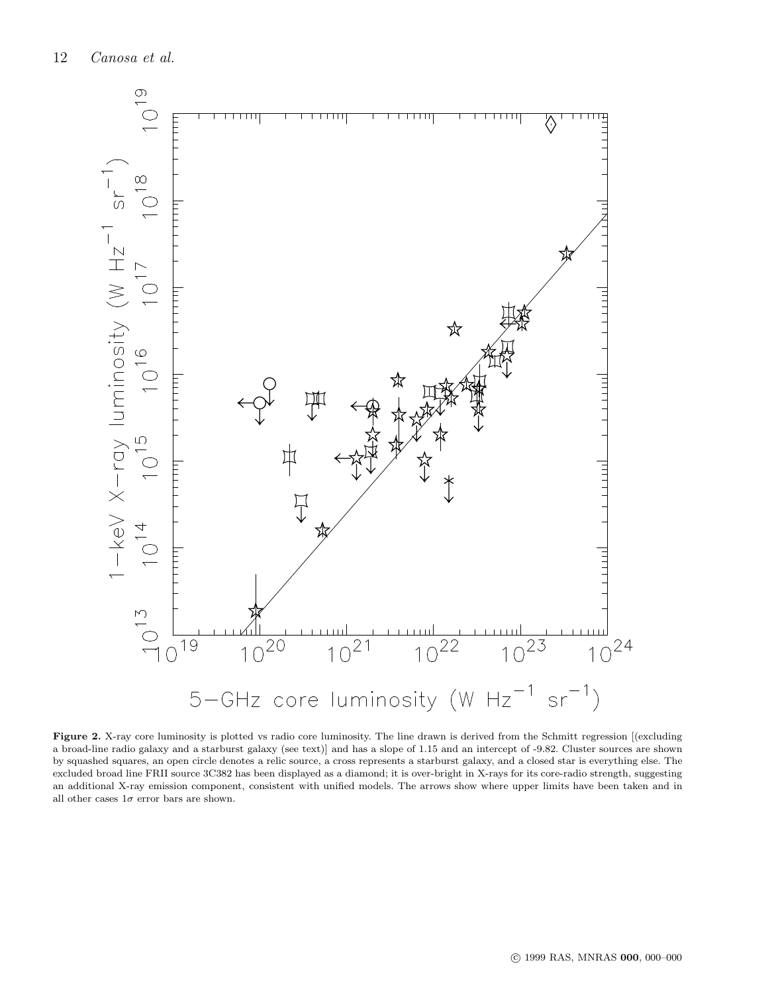<span id="page-11-0"></span>

Figure 2. X-ray core luminosity is plotted vs radio core luminosity. The line drawn is derived from the Schmitt regression [(excluding a broad-line radio galaxy and a starburst galaxy (see text)] and has a slope of 1.15 and an intercept of -9.82. Cluster sources are shown by squashed squares, an open circle denotes a relic source, a cross represents a starburst galaxy, and a closed star is everything else. The excluded broad line FRII source 3C382 has been displayed as a diamond; it is over-bright in X-rays for its core-radio strength, suggesting an additional X-ray emission component, consistent with unified models. The arrows show where upper limits have been taken and in all other cases  $1\sigma$  error bars are shown.